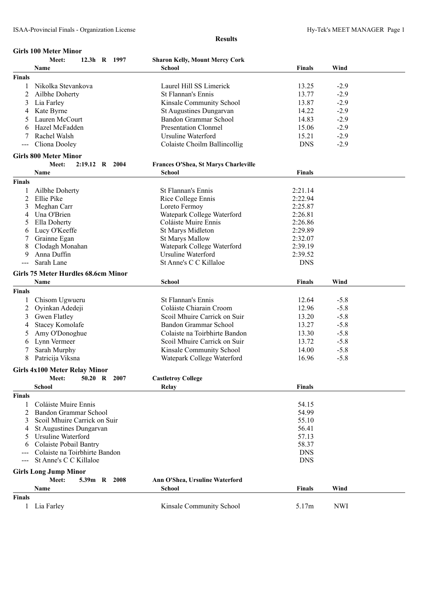#### **Girls 100 Meter Minor**

|               | Meet:                                                   | 12.3h R 1997   |      | <b>Sharon Kelly, Mount Mercy Cork</b> |                |            |  |
|---------------|---------------------------------------------------------|----------------|------|---------------------------------------|----------------|------------|--|
|               | Name                                                    |                |      | School                                | <b>Finals</b>  | Wind       |  |
| Finals        |                                                         |                |      |                                       |                |            |  |
| 1             | Nikolka Stevankova                                      |                |      | Laurel Hill SS Limerick               | 13.25          | $-2.9$     |  |
| 2             | Ailbhe Doherty                                          |                |      | St Flannan's Ennis                    | 13.77          | $-2.9$     |  |
| 3             | Lia Farley                                              |                |      | Kinsale Community School              | 13.87          | $-2.9$     |  |
| 4             | Kate Byrne                                              |                |      | St Augustines Dungarvan               | 14.22          | $-2.9$     |  |
| 5             | Lauren McCourt                                          |                |      | <b>Bandon Grammar School</b>          | 14.83          | $-2.9$     |  |
| 6             | Hazel McFadden                                          |                |      | <b>Presentation Clonmel</b>           | 15.06          | $-2.9$     |  |
|               | Rachel Walsh                                            |                |      | <b>Ursuline Waterford</b>             | 15.21          | $-2.9$     |  |
| $---$         | Cliona Dooley                                           |                |      | Colaiste Choilm Ballincollig          | <b>DNS</b>     | $-2.9$     |  |
|               | <b>Girls 800 Meter Minor</b>                            |                |      |                                       |                |            |  |
|               | Meet:                                                   | 2:19.12 R 2004 |      | Frances O'Shea, St Marys Charleville  |                |            |  |
|               | Name                                                    |                |      | School                                | <b>Finals</b>  |            |  |
| <b>Finals</b> |                                                         |                |      |                                       |                |            |  |
| 1             | Ailbhe Doherty                                          |                |      | St Flannan's Ennis                    | 2:21.14        |            |  |
| 2             | Ellie Pike                                              |                |      | Rice College Ennis                    | 2:22.94        |            |  |
| 3             | Meghan Carr                                             |                |      | Loreto Fermoy                         | 2:25.87        |            |  |
| 4             | Una O'Brien                                             |                |      | Watepark College Waterford            | 2:26.81        |            |  |
| 5             | Ella Doherty                                            |                |      | Coláiste Muire Ennis                  | 2:26.86        |            |  |
| 6             | Lucy O'Keeffe                                           |                |      | St Marys Midleton                     | 2:29.89        |            |  |
|               | Grainne Egan                                            |                |      | <b>St Marys Mallow</b>                | 2:32.07        |            |  |
| 8             | Clodagh Monahan                                         |                |      | Watepark College Waterford            | 2:39.19        |            |  |
| 9             | Anna Duffin                                             |                |      | Ursuline Waterford                    | 2:39.52        |            |  |
| $---$         | Sarah Lane                                              |                |      | St Anne's C C Killaloe                | <b>DNS</b>     |            |  |
|               | <b>Girls 75 Meter Hurdles 68.6cm Minor</b>              |                |      |                                       |                |            |  |
|               | Name                                                    |                |      | <b>School</b>                         | <b>Finals</b>  | Wind       |  |
| <b>Finals</b> |                                                         |                |      |                                       |                |            |  |
| 1             | Chisom Ugwueru                                          |                |      | St Flannan's Ennis                    | 12.64          | $-5.8$     |  |
| 2             | Oyinkan Adedeji                                         |                |      | Coláiste Chiarain Croom               | 12.96          | $-5.8$     |  |
| 3             | Gwen Flatley                                            |                |      | Scoil Mhuire Carrick on Suir          | 13.20          | $-5.8$     |  |
| 4             | <b>Stacey Komolafe</b>                                  |                |      | Bandon Grammar School                 | 13.27          | $-5.8$     |  |
| 5             | Amy O'Donoghue                                          |                |      | Colaiste na Toirbhirte Bandon         | 13.30          | $-5.8$     |  |
| 6             | Lynn Vermeer                                            |                |      | Scoil Mhuire Carrick on Suir          | 13.72          | $-5.8$     |  |
| 7             | Sarah Murphy                                            |                |      | Kinsale Community School              | 14.00          | $-5.8$     |  |
| 8             | Patricija Viksna                                        |                |      | Watepark College Waterford            | 16.96          | $-5.8$     |  |
|               |                                                         |                |      |                                       |                |            |  |
|               | <b>Girls 4x100 Meter Relay Minor</b>                    |                |      |                                       |                |            |  |
|               | Meet:                                                   | 50.20 R        | 2007 | <b>Castletroy College</b>             |                |            |  |
|               | School                                                  |                |      | Relay                                 | <b>Finals</b>  |            |  |
| <b>Finals</b> |                                                         |                |      |                                       |                |            |  |
| 1             | Coláiste Muire Ennis                                    |                |      |                                       | 54.15          |            |  |
|               | Bandon Grammar School                                   |                |      |                                       | 54.99          |            |  |
|               | Scoil Mhuire Carrick on Suir<br>St Augustines Dungarvan |                |      |                                       | 55.10<br>56.41 |            |  |
|               | Ursuline Waterford                                      |                |      |                                       | 57.13          |            |  |
|               | Colaiste Pobail Bantry                                  |                |      |                                       | 58.37          |            |  |
|               | Colaiste na Toirbhirte Bandon                           |                |      |                                       | <b>DNS</b>     |            |  |
|               | St Anne's C C Killaloe                                  |                |      |                                       | <b>DNS</b>     |            |  |
|               |                                                         |                |      |                                       |                |            |  |
|               | <b>Girls Long Jump Minor</b>                            |                |      |                                       |                |            |  |
|               | Meet:                                                   | 5.39m R 2008   |      | Ann O'Shea, Ursuline Waterford        |                |            |  |
|               | Name                                                    |                |      | School                                | <b>Finals</b>  | Wind       |  |
| <b>Finals</b> |                                                         |                |      |                                       |                |            |  |
| 1             | Lia Farley                                              |                |      | Kinsale Community School              | 5.17m          | <b>NWI</b> |  |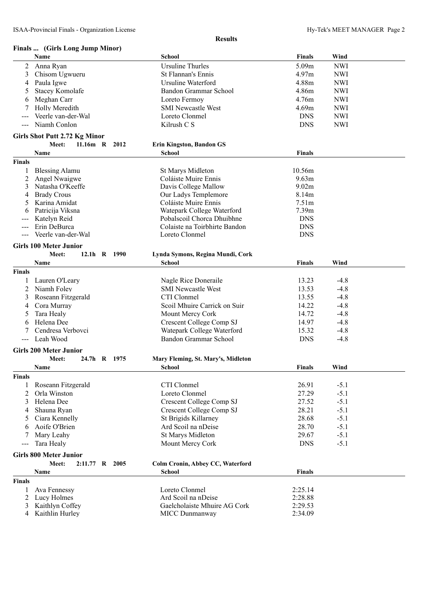## **Finals ... (Girls Long Jump Minor)**

|                     | FINAIS  (GIFIS LONG JUMP MINOF)                       |                                    |                   |            |  |
|---------------------|-------------------------------------------------------|------------------------------------|-------------------|------------|--|
|                     | Name                                                  | <b>School</b>                      | <b>Finals</b>     | Wind       |  |
| 2                   | Anna Ryan                                             | <b>Ursuline Thurles</b>            | 5.09m             | <b>NWI</b> |  |
| 3                   | Chisom Ugwueru                                        | St Flannan's Ennis                 | 4.97m             | <b>NWI</b> |  |
| 4                   | Paula Igwe                                            | Ursuline Waterford                 | 4.88m             | <b>NWI</b> |  |
| 5                   | <b>Stacey Komolafe</b>                                | Bandon Grammar School              | 4.86m             | <b>NWI</b> |  |
| 6                   | Meghan Carr                                           | Loreto Fermoy                      | 4.76m             | <b>NWI</b> |  |
| 7                   | Holly Meredith                                        | <b>SMI Newcastle West</b>          | 4.69m             | <b>NWI</b> |  |
|                     | Veerle van-der-Wal                                    | Loreto Clonmel                     | <b>DNS</b>        | <b>NWI</b> |  |
| $\qquad \qquad - -$ | Niamh Conlon                                          | Kilrush C S                        | <b>DNS</b>        | <b>NWI</b> |  |
|                     |                                                       |                                    |                   |            |  |
|                     | <b>Girls Shot Putt 2.72 Kg Minor</b><br>11.16m R 2012 |                                    |                   |            |  |
|                     | Meet:                                                 | <b>Erin Kingston, Bandon GS</b>    |                   |            |  |
|                     | Name                                                  | <b>School</b>                      | <b>Finals</b>     |            |  |
| <b>Finals</b>       |                                                       |                                    |                   |            |  |
| 1                   | <b>Blessing Alamu</b>                                 | St Marys Midleton                  | 10.56m            |            |  |
| 2                   | Angel Nwaigwe                                         | Coláiste Muire Ennis               | 9.63m             |            |  |
| 3                   | Natasha O'Keeffe                                      | Davis College Mallow               | 9.02m             |            |  |
| 4                   | <b>Brady Crous</b>                                    | Our Ladys Templemore               | 8.14m             |            |  |
| 5                   | Karina Amidat                                         | Coláiste Muire Ennis               | 7.51m             |            |  |
| 6                   | Patricija Viksna                                      | Watepark College Waterford         | 7.39 <sub>m</sub> |            |  |
|                     | Katelyn Reid                                          | Pobalscoil Chorca Dhuibhne         | <b>DNS</b>        |            |  |
|                     | Erin DeBurca                                          | Colaiste na Toirbhirte Bandon      | <b>DNS</b>        |            |  |
|                     | Veerle van-der-Wal                                    | Loreto Clonmel                     | <b>DNS</b>        |            |  |
|                     | <b>Girls 100 Meter Junior</b>                         |                                    |                   |            |  |
|                     | Meet:<br>12.1h R 1990                                 | Lynda Symons, Regina Mundi, Cork   |                   |            |  |
|                     | Name                                                  | <b>School</b>                      | <b>Finals</b>     | Wind       |  |
| <b>Finals</b>       |                                                       |                                    |                   |            |  |
| 1                   | Lauren O'Leary                                        | Nagle Rice Doneraile               | 13.23             | $-4.8$     |  |
| 2                   | Niamh Foley                                           | <b>SMI Newcastle West</b>          | 13.53             | $-4.8$     |  |
| 3                   | Roseann Fitzgerald                                    | CTI Clonmel                        | 13.55             | $-4.8$     |  |
|                     | Cora Murray                                           | Scoil Mhuire Carrick on Suir       | 14.22             | $-4.8$     |  |
| 4                   |                                                       |                                    |                   |            |  |
| 5                   | Tara Healy                                            | Mount Mercy Cork                   | 14.72             | $-4.8$     |  |
| 6                   | Helena Dee                                            | Crescent College Comp SJ           | 14.97             | $-4.8$     |  |
| 7                   | Cendresa Verbovci                                     | Watepark College Waterford         | 15.32             | $-4.8$     |  |
| $\qquad \qquad - -$ | Leah Wood                                             | <b>Bandon Grammar School</b>       | <b>DNS</b>        | $-4.8$     |  |
|                     | <b>Girls 200 Meter Junior</b>                         |                                    |                   |            |  |
|                     | Meet:<br>24.7h R 1975                                 | Mary Fleming, St. Mary's, Midleton |                   |            |  |
|                     | <b>Name</b>                                           | <b>School</b>                      | <b>Finals</b>     | Wind       |  |
| Finals              |                                                       |                                    |                   |            |  |
| 1                   | Roseann Fitzgerald                                    | CTI Clonmel                        | 26.91             | $-5.1$     |  |
| 2                   | Orla Winston                                          | Loreto Clonmel                     | 27.29             | $-5.1$     |  |
| 3                   | Helena Dee                                            | Crescent College Comp SJ           | 27.52             | $-5.1$     |  |
| 4                   | Shauna Ryan                                           | <b>Crescent College Comp SJ</b>    | 28.21             | $-5.1$     |  |
| 5                   | Ciara Kennelly                                        | St Brigids Killarney               | 28.68             | $-5.1$     |  |
| 6                   | Aoife O'Brien                                         | Ard Scoil na nDeise                | 28.70             | $-5.1$     |  |
| 7                   | Mary Leahy                                            | <b>St Marys Midleton</b>           | 29.67             | $-5.1$     |  |
| $---$               | Tara Healy                                            | Mount Mercy Cork                   | <b>DNS</b>        | $-5.1$     |  |
|                     |                                                       |                                    |                   |            |  |
|                     | <b>Girls 800 Meter Junior</b>                         |                                    |                   |            |  |
|                     | 2:11.77 R 2005<br>Meet:                               | Colm Cronin, Abbey CC, Waterford   |                   |            |  |
|                     | Name                                                  | School                             | Finals            |            |  |
| <b>Finals</b>       |                                                       |                                    |                   |            |  |
| 1                   | Ava Fennessy                                          | Loreto Clonmel                     | 2:25.14           |            |  |
| $\overline{2}$      | Lucy Holmes                                           | Ard Scoil na nDeise                | 2:28.88           |            |  |
| 3                   | Kaithlyn Coffey                                       | Gaelcholaiste Mhuire AG Cork       | 2:29.53           |            |  |
| $\overline{4}$      | Kaithlin Hurley                                       | MICC Dunmanway                     | 2:34.09           |            |  |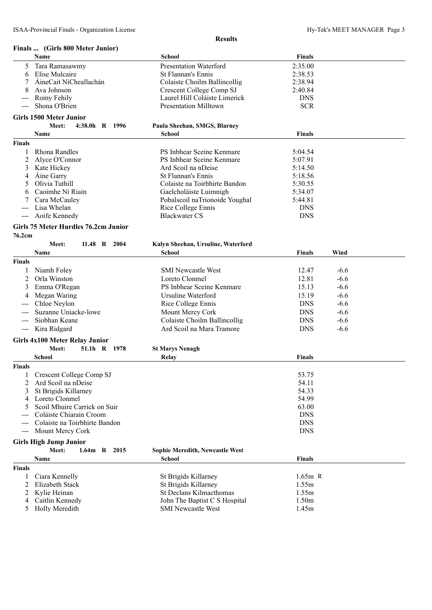|                     | Finals  (Girls 800 Meter Junior)      |                                        |               |        |
|---------------------|---------------------------------------|----------------------------------------|---------------|--------|
|                     | Name                                  | School                                 | <b>Finals</b> |        |
| 5                   | Tara Ramasawmy                        | Presentation Waterford                 | 2:35.00       |        |
| 6                   | Elise Mulcaire                        | St Flannan's Ennis                     | 2:38.53       |        |
| 7                   | ÁineCait NíCheallachán                | Colaiste Choilm Ballincollig           | 2:38.94       |        |
| 8                   | Ava Johnson                           | Crescent College Comp SJ               | 2:40.84       |        |
| ---                 | Romy Fehily                           | Laurel Hill Coláiste Limerick          | <b>DNS</b>    |        |
|                     | Shona O'Brien                         | <b>Presentation Milltown</b>           | <b>SCR</b>    |        |
|                     |                                       |                                        |               |        |
|                     | <b>Girls 1500 Meter Junior</b>        |                                        |               |        |
|                     | 4:38.0h R 1996<br>Meet:               | Paula Sheehan, SMGS, Blarney           |               |        |
|                     | Name                                  | <b>School</b>                          | <b>Finals</b> |        |
| <b>Finals</b>       |                                       |                                        |               |        |
| 1                   | Rhona Randles                         | PS Inbhear Sceine Kenmare              | 5:04.54       |        |
| 2                   | Alyce O'Connor                        | PS Inbhear Sceine Kenmare              | 5:07.91       |        |
| 3                   | Kate Hickey                           | Ard Scoil na nDeise                    | 5:14.50       |        |
|                     |                                       |                                        |               |        |
| 4                   | Aine Garry                            | St Flannan's Ennis                     | 5:18.56       |        |
| 5                   | Olivia Tuthill                        | Colaiste na Toirbhirte Bandon          | 5:30.55       |        |
| 6                   | Caoimhe Ní Riain                      | Gaelcholáiste Luimnigh                 | 5:34.07       |        |
|                     | Cara McCauley                         | Pobalscoil naTrionoide Youghal         | 5:44.81       |        |
|                     | Lisa Whelan                           | Rice College Ennis                     | <b>DNS</b>    |        |
| $\qquad \qquad - -$ | Aoife Kennedy                         | <b>Blackwater CS</b>                   | <b>DNS</b>    |        |
|                     | Girls 75 Meter Hurdles 76.2cm Junior  |                                        |               |        |
| 76.2cm              |                                       |                                        |               |        |
|                     |                                       |                                        |               |        |
|                     | Meet:<br>11.48 R 2004                 | Kalyn Sheehan, Ursuline, Waterford     |               |        |
|                     | Name                                  | School                                 | <b>Finals</b> | Wind   |
| <b>Finals</b>       |                                       |                                        |               |        |
|                     | Niamh Foley                           | <b>SMI Newcastle West</b>              | 12.47         | $-6.6$ |
| 2                   | Orla Winston                          | Loreto Clonmel                         | 12.81         | $-6.6$ |
| 3                   | Emma O'Regan                          | PS Inbhear Sceine Kenmare              | 15.13         | $-6.6$ |
|                     |                                       |                                        |               |        |
| 4                   | Megan Waring                          | Ursuline Waterford                     | 15.19         | $-6.6$ |
|                     | Chloe Neylon                          | Rice College Ennis                     | <b>DNS</b>    | $-6.6$ |
|                     | Suzanne Uniacke-lowe                  | Mount Mercy Cork                       | <b>DNS</b>    | $-6.6$ |
| $---$               | Siobhan Keane                         | Colaiste Choilm Ballincollig           | <b>DNS</b>    | $-6.6$ |
| ---                 | Kira Ridgard                          | Ard Scoil na Mara Tramore              | <b>DNS</b>    | $-6.6$ |
|                     | <b>Girls 4x100 Meter Relay Junior</b> |                                        |               |        |
|                     |                                       |                                        |               |        |
|                     | Meet:<br>51.1h R 1978                 | <b>St Marys Nenagh</b>                 |               |        |
|                     | School                                | Relay                                  | <b>Finals</b> |        |
| <b>Finals</b>       |                                       |                                        |               |        |
|                     | Crescent College Comp SJ              |                                        | 53.75         |        |
| 2                   | Ard Scoil na nDeise                   |                                        | 54.11         |        |
| 3                   | St Brigids Killarney                  |                                        | 54.33         |        |
| 4                   | Loreto Clonmel                        |                                        | 54.99         |        |
|                     | Scoil Mhuire Carrick on Suir          |                                        | 63.00         |        |
|                     | Coláiste Chiarain Croom               |                                        | <b>DNS</b>    |        |
|                     |                                       |                                        |               |        |
|                     | Colaiste na Toirbhirte Bandon         |                                        | <b>DNS</b>    |        |
| $---$               | Mount Mercy Cork                      |                                        | <b>DNS</b>    |        |
|                     | <b>Girls High Jump Junior</b>         |                                        |               |        |
|                     | Meet:<br>1.64m R 2015                 | <b>Sophie Meredith, Newcastle West</b> |               |        |
|                     | Name                                  | School                                 | <b>Finals</b> |        |
|                     |                                       |                                        |               |        |
| <b>Finals</b>       |                                       |                                        |               |        |
| 1                   | Ciara Kennelly                        | St Brigids Killarney                   | $1.65m$ R     |        |
| 2                   | Elizabeth Stack                       | St Brigids Killarney                   | 1.55m         |        |
| 2                   | Kylie Heinan                          | St Declans Kilmacthomas                | 1.55m         |        |
| 4                   | Caitlin Kennedy                       | John The Baptist C S Hospital          | 1.50m         |        |
|                     | 5 Holly Meredith                      | <b>SMI</b> Newcastle West              | 1.45m         |        |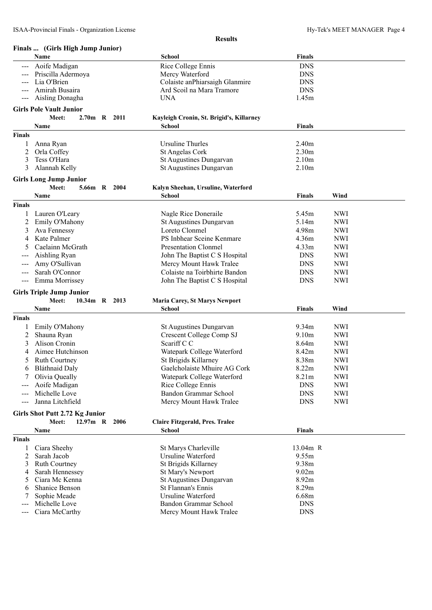|               | Finals  (Girls High Jump Junior) |      |                                          |                   |            |
|---------------|----------------------------------|------|------------------------------------------|-------------------|------------|
|               | Name                             |      | School                                   | <b>Finals</b>     |            |
| $---$         | Aoife Madigan                    |      | Rice College Ennis                       | <b>DNS</b>        |            |
|               | Priscilla Adermoya               |      | Mercy Waterford                          | <b>DNS</b>        |            |
|               | Lia O'Brien                      |      | Colaiste anPhiarsaigh Glanmire           | <b>DNS</b>        |            |
|               | Amirah Busaira                   |      | Ard Scoil na Mara Tramore                | <b>DNS</b>        |            |
|               | Aisling Donagha                  |      | <b>UNA</b>                               | 1.45m             |            |
|               |                                  |      |                                          |                   |            |
|               | <b>Girls Pole Vault Junior</b>   |      |                                          |                   |            |
|               | Meet:<br>2.70m R 2011            |      | Kayleigh Cronin, St. Brigid's, Killarney |                   |            |
|               | Name                             |      | <b>School</b>                            | <b>Finals</b>     |            |
| <b>Finals</b> |                                  |      |                                          |                   |            |
|               | Anna Ryan                        |      | Ursuline Thurles                         | 2.40 <sub>m</sub> |            |
| 2             | Orla Coffey                      |      | St Angelas Cork                          | 2.30 <sub>m</sub> |            |
| 3             | Tess O'Hara                      |      | St Augustines Dungarvan                  | 2.10m             |            |
| 3             | Alannah Kelly                    |      | St Augustines Dungarvan                  | 2.10 <sub>m</sub> |            |
|               | <b>Girls Long Jump Junior</b>    |      |                                          |                   |            |
|               | Meet:<br>5.66m R 2004            |      | Kalyn Sheehan, Ursuline, Waterford       |                   |            |
|               | Name                             |      | <b>School</b>                            | <b>Finals</b>     | Wind       |
| <b>Finals</b> |                                  |      |                                          |                   |            |
|               | Lauren O'Leary                   |      | Nagle Rice Doneraile                     | 5.45m             | <b>NWI</b> |
| 2             | Emily O'Mahony                   |      | St Augustines Dungarvan                  | 5.14m             | <b>NWI</b> |
| 3             | Ava Fennessy                     |      | Loreto Clonmel                           | 4.98m             | <b>NWI</b> |
| 4             | Kate Palmer                      |      | PS Inbhear Sceine Kenmare                | 4.36m             | <b>NWI</b> |
| 5             | Caelainn McGrath                 |      | <b>Presentation Clonmel</b>              | 4.33m             | <b>NWI</b> |
|               | Aishling Ryan                    |      | John The Baptist C S Hospital            | <b>DNS</b>        | <b>NWI</b> |
|               | Amy O'Sullivan                   |      | Mercy Mount Hawk Tralee                  | <b>DNS</b>        | <b>NWI</b> |
|               | Sarah O'Connor                   |      | Colaiste na Toirbhirte Bandon            | <b>DNS</b>        | <b>NWI</b> |
| $---$         | Emma Morrissey                   |      | John The Baptist C S Hospital            | <b>DNS</b>        | <b>NWI</b> |
|               |                                  |      |                                          |                   |            |
|               | <b>Girls Triple Jump Junior</b>  |      |                                          |                   |            |
|               | Meet:<br>10.34m R 2013           |      | <b>Maria Carey, St Marys Newport</b>     |                   |            |
|               | Name                             |      | School                                   | <b>Finals</b>     | Wind       |
| <b>Finals</b> |                                  |      |                                          |                   |            |
| 1             | Emily O'Mahony                   |      | St Augustines Dungarvan                  | 9.34m             | <b>NWI</b> |
| 2             | Shauna Ryan                      |      | Crescent College Comp SJ                 | 9.10 <sub>m</sub> | <b>NWI</b> |
| 3             | Alison Cronin                    |      | Scariff C C                              | 8.64m             | <b>NWI</b> |
| 4             | Aimee Hutchinson                 |      | Watepark College Waterford               | 8.42m             | <b>NWI</b> |
| 5             | <b>Ruth Courtney</b>             |      | St Brigids Killarney                     | 8.38m             | <b>NWI</b> |
| 6             | Bláthnaid Daly                   |      | Gaelcholaiste Mhuire AG Cork             | 8.22m             | <b>NWI</b> |
|               | Olivia Queally                   |      | Watepark College Waterford               | 8.21m             | <b>NWI</b> |
|               | Aoife Madigan                    |      | Rice College Ennis                       | <b>DNS</b>        | <b>NWI</b> |
|               | Michelle Love                    |      | <b>Bandon Grammar School</b>             | <b>DNS</b>        | <b>NWI</b> |
|               | Janna Litchfield                 |      | Mercy Mount Hawk Tralee                  | <b>DNS</b>        | <b>NWI</b> |
|               |                                  |      |                                          |                   |            |
|               | Girls Shot Putt 2.72 Kg Junior   |      |                                          |                   |            |
|               | $12.97m$ R<br>Meet:              | 2006 | Claire Fitzgerald, Pres. Tralee          |                   |            |
|               | Name                             |      | <b>School</b>                            | <b>Finals</b>     |            |
| <b>Finals</b> |                                  |      |                                          |                   |            |
| 1             | Ciara Sheehy                     |      | St Marys Charleville                     | $13.04m$ R        |            |
| 2             | Sarah Jacob                      |      | <b>Ursuline Waterford</b>                | 9.55m             |            |
| 3             | <b>Ruth Courtney</b>             |      | St Brigids Killarney                     | 9.38m             |            |
| 4             | Sarah Hennessey                  |      | St Mary's Newport                        | 9.02m             |            |
| 5             | Ciara Mc Kenna                   |      | St Augustines Dungarvan                  | 8.92m             |            |
| 6             | Shanice Benson                   |      | St Flannan's Ennis                       | 8.29m             |            |
| 7             | Sophie Meade                     |      | Ursuline Waterford                       | 6.68m             |            |
|               | Michelle Love                    |      | Bandon Grammar School                    | <b>DNS</b>        |            |
| ---           | Ciara McCarthy                   |      | Mercy Mount Hawk Tralee                  | <b>DNS</b>        |            |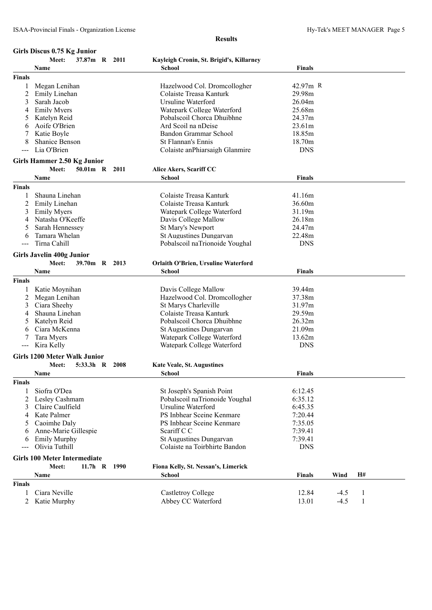|               | Girls Discus 0.75 Kg Junior         |      |                                            |               |        |    |  |
|---------------|-------------------------------------|------|--------------------------------------------|---------------|--------|----|--|
|               | 37.87m<br>Meet:<br>R                | 2011 | Kayleigh Cronin, St. Brigid's, Killarney   |               |        |    |  |
|               | Name                                |      | <b>School</b>                              | Finals        |        |    |  |
| <b>Finals</b> |                                     |      |                                            |               |        |    |  |
| 1             | Megan Lenihan                       |      | Hazelwood Col. Dromcollogher               | $42.97m$ R    |        |    |  |
| 2             | Emily Linehan                       |      | Colaiste Treasa Kanturk                    | 29.98m        |        |    |  |
| 3             | Sarah Jacob                         |      | Ursuline Waterford                         | 26.04m        |        |    |  |
| 4             | <b>Emily Myers</b>                  |      | Watepark College Waterford                 | 25.68m        |        |    |  |
| 5             | Katelyn Reid                        |      | Pobalscoil Chorca Dhuibhne                 | 24.37m        |        |    |  |
| 6             | Aoife O'Brien                       |      | Ard Scoil na nDeise                        | 23.61m        |        |    |  |
| 7             | Katie Boyle                         |      | Bandon Grammar School                      | 18.85m        |        |    |  |
| 8             |                                     |      |                                            | 18.70m        |        |    |  |
|               | Shanice Benson                      |      | St Flannan's Ennis                         |               |        |    |  |
| $---$         | Lia O'Brien                         |      | Colaiste anPhiarsaigh Glanmire             | <b>DNS</b>    |        |    |  |
|               | Girls Hammer 2.50 Kg Junior         |      |                                            |               |        |    |  |
|               | Meet:<br>50.01m R 2011              |      | Alice Akers, Scariff CC                    |               |        |    |  |
|               | Name                                |      | School                                     | <b>Finals</b> |        |    |  |
| <b>Finals</b> |                                     |      |                                            |               |        |    |  |
| 1             | Shauna Linehan                      |      | Colaiste Treasa Kanturk                    | 41.16m        |        |    |  |
| 2             | Emily Linehan                       |      | Colaiste Treasa Kanturk                    | 36.60m        |        |    |  |
| 3             | <b>Emily Myers</b>                  |      | Watepark College Waterford                 | 31.19m        |        |    |  |
| 4             | Natasha O'Keeffe                    |      | Davis College Mallow                       | 26.18m        |        |    |  |
| 5             | Sarah Hennessey                     |      | St Mary's Newport                          | 24.47m        |        |    |  |
| 6             | Tamara Whelan                       |      | St Augustines Dungarvan                    | 22.48m        |        |    |  |
| $---$         | Tirna Cahill                        |      | Pobalscoil naTrionoide Youghal             | <b>DNS</b>    |        |    |  |
|               |                                     |      |                                            |               |        |    |  |
|               | <b>Girls Javelin 400g Junior</b>    |      |                                            |               |        |    |  |
|               | Meet:<br>39.70m R 2013              |      | <b>Orlaith O'Brien, Ursuline Waterford</b> |               |        |    |  |
|               | Name                                |      | School                                     | <b>Finals</b> |        |    |  |
| <b>Finals</b> |                                     |      |                                            |               |        |    |  |
|               | Katie Moynihan                      |      | Davis College Mallow                       | 39.44m        |        |    |  |
| 2             | Megan Lenihan                       |      | Hazelwood Col. Dromcollogher               | 37.38m        |        |    |  |
| 3             | Ciara Sheehy                        |      | St Marys Charleville                       | 31.97m        |        |    |  |
| 4             | Shauna Linehan                      |      | Colaiste Treasa Kanturk                    | 29.59m        |        |    |  |
| 5             | Katelyn Reid                        |      | Pobalscoil Chorca Dhuibhne                 | 26.32m        |        |    |  |
|               |                                     |      |                                            |               |        |    |  |
| 6             | Ciara McKenna                       |      | St Augustines Dungarvan                    | 21.09m        |        |    |  |
| 7             | Tara Myers                          |      | Watepark College Waterford                 | 13.62m        |        |    |  |
|               | Kira Kelly                          |      | Watepark College Waterford                 | <b>DNS</b>    |        |    |  |
|               | <b>Girls 1200 Meter Walk Junior</b> |      |                                            |               |        |    |  |
|               | 5:33.3h R<br>Meet:                  | 2008 | <b>Kate Veale, St. Augustines</b>          |               |        |    |  |
|               | Name                                |      | School                                     | <b>Finals</b> |        |    |  |
| Finals        |                                     |      |                                            |               |        |    |  |
| 1             | Siofra O'Dea                        |      | St Joseph's Spanish Point                  | 6:12.45       |        |    |  |
| 2             | Lesley Cashmam                      |      | Pobalscoil naTrionoide Youghal             | 6:35.12       |        |    |  |
|               |                                     |      |                                            |               |        |    |  |
| 3             | Claire Caulfield                    |      | <b>Ursuline Waterford</b>                  | 6:45.35       |        |    |  |
| 4             | Kate Palmer                         |      | PS Inbhear Sceine Kenmare                  | 7:20.44       |        |    |  |
| 5             | Caoimhe Daly                        |      | PS Inbhear Sceine Kenmare                  | 7:35.05       |        |    |  |
| 6             | Anne-Marie Gillespie                |      | Scariff C C                                | 7:39.41       |        |    |  |
| 6             | <b>Emily Murphy</b>                 |      | St Augustines Dungarvan                    | 7:39.41       |        |    |  |
|               | Olivia Tuthill                      |      | Colaiste na Toirbhirte Bandon              | <b>DNS</b>    |        |    |  |
|               | <b>Girls 100 Meter Intermediate</b> |      |                                            |               |        |    |  |
|               | Meet:<br>$11.7h$ R                  | 1990 | Fiona Kelly, St. Nessan's, Limerick        |               |        |    |  |
|               | Name                                |      | <b>School</b>                              | <b>Finals</b> | Wind   | H# |  |
| <b>Finals</b> |                                     |      |                                            |               |        |    |  |
|               |                                     |      |                                            |               |        |    |  |
| 1             | Ciara Neville                       |      | Castletroy College                         | 12.84         | $-4.5$ | 1  |  |
| 2             | Katie Murphy                        |      | Abbey CC Waterford                         | 13.01         | $-4.5$ | 1  |  |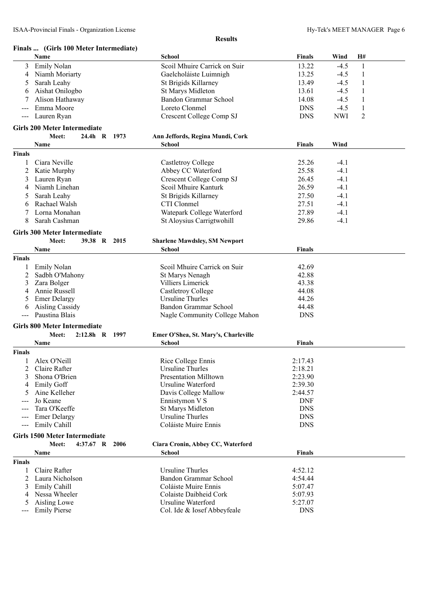|                | Finals  (Girls 100 Meter Intermediate) |                                      |               |            |                |  |
|----------------|----------------------------------------|--------------------------------------|---------------|------------|----------------|--|
|                | Name                                   | <b>School</b>                        | <b>Finals</b> | Wind       | H#             |  |
| 3              | <b>Emily Nolan</b>                     | Scoil Mhuire Carrick on Suir         | 13.22         | $-4.5$     | $\mathbf{1}$   |  |
| 4              | Niamh Moriarty                         | Gaelcholáiste Luimnigh               | 13.25         | $-4.5$     | $\mathbf{1}$   |  |
| 5              | Sarah Leahy                            | St Brigids Killarney                 | 13.49         | $-4.5$     | $\mathbf{1}$   |  |
| 6              | Aishat Onilogbo                        | St Marys Midleton                    | 13.61         | $-4.5$     | $\mathbf{1}$   |  |
|                | Alison Hathaway                        | Bandon Grammar School                | 14.08         | $-4.5$     | $\mathbf{1}$   |  |
|                | Emma Moore                             | Loreto Clonmel                       | <b>DNS</b>    | $-4.5$     | $\mathbf{1}$   |  |
| ---            | Lauren Ryan                            | Crescent College Comp SJ             | <b>DNS</b>    | <b>NWI</b> | $\overline{2}$ |  |
|                | <b>Girls 200 Meter Intermediate</b>    |                                      |               |            |                |  |
|                | Meet:<br>24.4h R 1973                  | Ann Jeffords, Regina Mundi, Cork     |               |            |                |  |
|                | Name                                   | School                               | <b>Finals</b> | Wind       |                |  |
| <b>Finals</b>  |                                        |                                      |               |            |                |  |
|                | Ciara Neville                          | Castletroy College                   | 25.26         | $-4.1$     |                |  |
| 2              | Katie Murphy                           | Abbey CC Waterford                   | 25.58         | $-4.1$     |                |  |
| 3              | Lauren Ryan                            | Crescent College Comp SJ             | 26.45         | $-4.1$     |                |  |
| 4              | Niamh Linehan                          | Scoil Mhuire Kanturk                 | 26.59         | $-4.1$     |                |  |
| 5              | Sarah Leahy                            | <b>St Brigids Killarney</b>          | 27.50         | $-4.1$     |                |  |
| 6              | Rachael Walsh                          | CTI Clonmel                          | 27.51         | $-4.1$     |                |  |
|                | Lorna Monahan                          | Watepark College Waterford           | 27.89         | $-4.1$     |                |  |
| 8              | Sarah Cashman                          | St Aloysius Carrigtwohill            | 29.86         | $-4.1$     |                |  |
|                | <b>Girls 300 Meter Intermediate</b>    |                                      |               |            |                |  |
|                | Meet:<br>39.38 R 2015                  | <b>Sharlene Mawdsley, SM Newport</b> |               |            |                |  |
|                | Name                                   | <b>School</b>                        | <b>Finals</b> |            |                |  |
| <b>Finals</b>  |                                        |                                      |               |            |                |  |
|                | <b>Emily Nolan</b>                     | Scoil Mhuire Carrick on Suir         | 42.69         |            |                |  |
| 2              | Sadbh O'Mahony                         | St Marys Nenagh                      | 42.88         |            |                |  |
| 3              | Zara Bolger                            | Villiers Limerick                    | 43.38         |            |                |  |
| 4              | Annie Russell                          | Castletroy College                   | 44.08         |            |                |  |
| 5              | <b>Emer Delargy</b>                    | Ursuline Thurles                     | 44.26         |            |                |  |
| 6              | Aisling Cassidy                        | Bandon Grammar School                | 44.48         |            |                |  |
| ---            | Paustina Blais                         | Nagle Community College Mahon        | <b>DNS</b>    |            |                |  |
|                | <b>Girls 800 Meter Intermediate</b>    |                                      |               |            |                |  |
|                | 2:12.8h R 1997<br>Meet:                | Emer O'Shea, St. Mary's, Charleville |               |            |                |  |
|                | Name                                   | <b>School</b>                        | <b>Finals</b> |            |                |  |
| <b>Finals</b>  |                                        |                                      |               |            |                |  |
|                | Alex O'Neill                           | Rice College Ennis                   | 2:17.43       |            |                |  |
|                | 2 Claire Rafter                        | <b>Ursuline Thurles</b>              | 2:18.21       |            |                |  |
| 3              | Shona O'Brien                          | <b>Presentation Milltown</b>         | 2:23.90       |            |                |  |
| 4              | <b>Emily Goff</b>                      | Ursuline Waterford                   | 2:39.30       |            |                |  |
|                | Aine Kelleher                          | Davis College Mallow                 | 2:44.57       |            |                |  |
|                | Jo Keane                               | Ennistymon V S                       | <b>DNF</b>    |            |                |  |
|                | Tara O'Keeffe                          | <b>St Marys Midleton</b>             | <b>DNS</b>    |            |                |  |
|                | <b>Emer Delargy</b>                    | <b>Ursuline Thurles</b>              | <b>DNS</b>    |            |                |  |
| ---            | Emily Cahill                           | Coláiste Muire Ennis                 | <b>DNS</b>    |            |                |  |
|                | <b>Girls 1500 Meter Intermediate</b>   |                                      |               |            |                |  |
|                | 4:37.67 R 2006<br>Meet:                | Ciara Cronin, Abbey CC, Waterford    |               |            |                |  |
|                | Name                                   | School                               | <b>Finals</b> |            |                |  |
| <b>Finals</b>  |                                        |                                      |               |            |                |  |
|                | Claire Rafter                          | Ursuline Thurles                     | 4:52.12       |            |                |  |
| $\overline{2}$ | Laura Nicholson                        | <b>Bandon Grammar School</b>         | 4:54.44       |            |                |  |
| 3              | <b>Emily Cahill</b>                    | Coláiste Muire Ennis                 | 5:07.47       |            |                |  |
| 4              | Nessa Wheeler                          | Colaiste Daibheid Cork               | 5:07.93       |            |                |  |
| 5              | Aisling Lowe                           | Ursuline Waterford                   | 5:27.07       |            |                |  |
| ---            | <b>Emily Pierse</b>                    | Col. Ide & Iosef Abbeyfeale          | <b>DNS</b>    |            |                |  |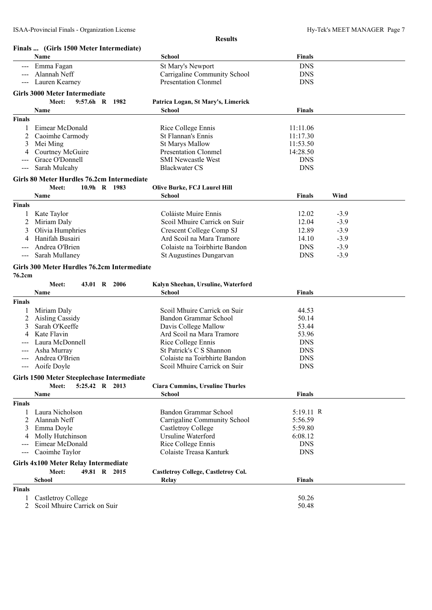|                                     | Finals  (Girls 1500 Meter Intermediate)     |                                            |               |        |
|-------------------------------------|---------------------------------------------|--------------------------------------------|---------------|--------|
|                                     | Name                                        | <b>School</b>                              | <b>Finals</b> |        |
|                                     | Emma Fagan                                  | <b>St Mary's Newport</b>                   | <b>DNS</b>    |        |
|                                     | Alannah Neff                                | Carrigaline Community School               | <b>DNS</b>    |        |
|                                     | Lauren Kearney                              | <b>Presentation Clonmel</b>                | <b>DNS</b>    |        |
|                                     |                                             |                                            |               |        |
|                                     | <b>Girls 3000 Meter Intermediate</b>        |                                            |               |        |
|                                     | 9:57.6h R 1982<br>Meet:                     | Patrica Logan, St Mary's, Limerick         |               |        |
|                                     | Name                                        | <b>School</b>                              | <b>Finals</b> |        |
| <b>Finals</b>                       |                                             |                                            |               |        |
|                                     | Eimear McDonald                             | Rice College Ennis                         | 11:11.06      |        |
| 2                                   | Caoimhe Carmody                             | St Flannan's Ennis                         | 11:17.30      |        |
| 3                                   | Mei Ming                                    | <b>St Marys Mallow</b>                     | 11:53.50      |        |
|                                     | Courtney McGuire                            | <b>Presentation Clonmel</b>                | 14:28.50      |        |
|                                     | Grace O'Donnell                             | <b>SMI Newcastle West</b>                  | <b>DNS</b>    |        |
|                                     | Sarah Mulcahy                               | <b>Blackwater CS</b>                       | <b>DNS</b>    |        |
|                                     | Girls 80 Meter Hurdles 76.2cm Intermediate  |                                            |               |        |
|                                     | Meet:<br>10.9h R 1983                       | <b>Olive Burke, FCJ Laurel Hill</b>        |               |        |
|                                     | Name                                        | School                                     | <b>Finals</b> | Wind   |
| <b>Finals</b>                       |                                             |                                            |               |        |
|                                     |                                             |                                            |               |        |
| 1                                   | Kate Taylor                                 | Coláiste Muire Ennis                       | 12.02         | $-3.9$ |
| 2                                   | Miriam Daly                                 | Scoil Mhuire Carrick on Suir               | 12.04         | $-3.9$ |
| 3                                   | Olivia Humphries                            | Crescent College Comp SJ                   | 12.89         | $-3.9$ |
|                                     | Hanifah Busairi                             | Ard Scoil na Mara Tramore                  | 14.10         | $-3.9$ |
|                                     | Andrea O'Brien                              | Colaiste na Toirbhirte Bandon              | <b>DNS</b>    | $-3.9$ |
| ---                                 | Sarah Mullaney                              | St Augustines Dungarvan                    | <b>DNS</b>    | $-3.9$ |
|                                     | Girls 300 Meter Hurdles 76.2cm Intermediate |                                            |               |        |
| 76.2cm                              |                                             |                                            |               |        |
|                                     | Meet:<br>43.01 R 2006                       | Kalyn Sheehan, Ursuline, Waterford         |               |        |
|                                     | Name                                        | School                                     | <b>Finals</b> |        |
| <b>Finals</b>                       |                                             |                                            |               |        |
|                                     |                                             |                                            |               |        |
|                                     |                                             |                                            |               |        |
|                                     | Miriam Daly                                 | Scoil Mhuire Carrick on Suir               | 44.53         |        |
| 2                                   | <b>Aisling Cassidy</b>                      | Bandon Grammar School                      | 50.14         |        |
| 3                                   | Sarah O'Keeffe                              | Davis College Mallow                       | 53.44         |        |
|                                     | Kate Flavin                                 | Ard Scoil na Mara Tramore                  | 53.96         |        |
|                                     | Laura McDonnell                             | Rice College Ennis                         | <b>DNS</b>    |        |
|                                     | Asha Murray                                 | St Patrick's C S Shannon                   | <b>DNS</b>    |        |
|                                     | Andrea O'Brien                              | Colaiste na Toirbhirte Bandon              | <b>DNS</b>    |        |
| ---                                 | Aoife Doyle                                 | Scoil Mhuire Carrick on Suir               | <b>DNS</b>    |        |
|                                     | Girls 1500 Meter Steeplechase Intermediate  |                                            |               |        |
|                                     | Meet:<br>5:25.42 R 2013                     | <b>Ciara Cummins, Ursuline Thurles</b>     |               |        |
|                                     | Name                                        | <b>School</b>                              | <b>Finals</b> |        |
|                                     |                                             |                                            |               |        |
|                                     |                                             |                                            |               |        |
|                                     | Laura Nicholson                             | Bandon Grammar School                      | $5:19.11$ R   |        |
| 2                                   | Alannah Neff                                | Carrigaline Community School               | 5:56.59       |        |
| 3                                   | Emma Doyle                                  | <b>Castletroy College</b>                  | 5:59.80       |        |
| 4                                   | Molly Hutchinson                            | Ursuline Waterford                         | 6:08.12       |        |
|                                     | Eimear McDonald                             | Rice College Ennis                         | <b>DNS</b>    |        |
|                                     | Caoimhe Taylor                              | Colaiste Treasa Kanturk                    | <b>DNS</b>    |        |
|                                     | Girls 4x100 Meter Relay Intermediate        |                                            |               |        |
|                                     | 49.81 R 2015<br>Meet:                       | <b>Castletroy College, Castletroy Col.</b> |               |        |
|                                     | School                                      | Relay                                      | <b>Finals</b> |        |
|                                     |                                             |                                            |               |        |
| <b>Finals</b><br><b>Finals</b><br>1 | Castletroy College                          |                                            | 50.26         |        |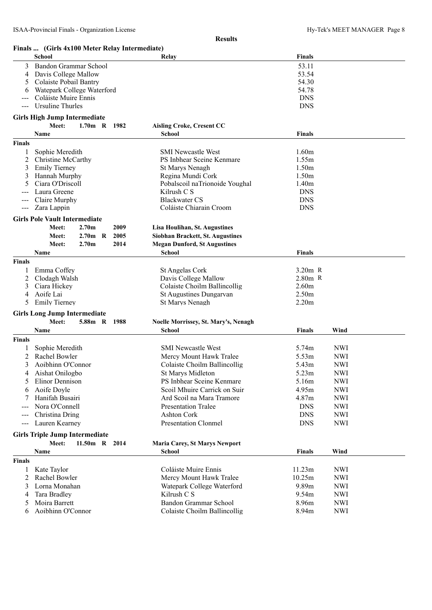# **Finals ... (Girls 4x100 Meter Relay Intermediate)**

|                     | <b>FINALS</b> (GIFIS 4X100 Meter Relay Intermediate) |                   |              |               |                                             | <b>Finals</b>            |            |  |
|---------------------|------------------------------------------------------|-------------------|--------------|---------------|---------------------------------------------|--------------------------|------------|--|
|                     | School                                               |                   |              |               | Relay                                       |                          |            |  |
| 3                   | Bandon Grammar School                                |                   |              |               |                                             | 53.11<br>53.54           |            |  |
| 4                   | Davis College Mallow                                 |                   |              |               |                                             |                          |            |  |
| 5                   | Colaiste Pobail Bantry                               |                   |              |               |                                             | 54.30                    |            |  |
| 6                   | Watepark College Waterford<br>Coláiste Muire Ennis   |                   |              |               |                                             | 54.78                    |            |  |
| $\qquad \qquad - -$ | Ursuline Thurles                                     |                   |              |               |                                             | <b>DNS</b><br><b>DNS</b> |            |  |
|                     |                                                      |                   |              |               |                                             |                          |            |  |
|                     | <b>Girls High Jump Intermediate</b>                  |                   |              |               |                                             |                          |            |  |
|                     | Meet:                                                |                   |              | 1.70m R 1982  | <b>Aisling Croke, Cresent CC</b>            |                          |            |  |
|                     | Name                                                 |                   |              |               | School                                      | <b>Finals</b>            |            |  |
| <b>Finals</b>       |                                                      |                   |              |               |                                             |                          |            |  |
|                     | Sophie Meredith                                      |                   |              |               | <b>SMI Newcastle West</b>                   | 1.60m                    |            |  |
| 2                   | Christine McCarthy                                   |                   |              |               | PS Inbhear Sceine Kenmare                   | 1.55m                    |            |  |
| 3                   | <b>Emily Tierney</b>                                 |                   |              |               | St Marys Nenagh                             | 1.50m                    |            |  |
|                     | Hannah Murphy                                        |                   |              |               | Regina Mundi Cork                           | 1.50m                    |            |  |
|                     | Ciara O'Driscoll                                     |                   |              |               | Pobalscoil naTrionoide Youghal              | 1.40m                    |            |  |
|                     | Laura Greene                                         |                   |              |               | Kilrush C S                                 | <b>DNS</b>               |            |  |
|                     | Claire Murphy                                        |                   |              |               | <b>Blackwater CS</b>                        | <b>DNS</b>               |            |  |
| $\qquad \qquad - -$ | Zara Lappin                                          |                   |              |               | Coláiste Chiarain Croom                     | <b>DNS</b>               |            |  |
|                     | <b>Girls Pole Vault Intermediate</b>                 |                   |              |               |                                             |                          |            |  |
|                     | Meet:                                                | 2.70 <sub>m</sub> |              | 2009          | Lisa Houlihan, St. Augustines               |                          |            |  |
|                     | Meet:                                                | 2.70 <sub>m</sub> | $\mathbf{R}$ | 2005          | Siobhan Brackett, St. Augustines            |                          |            |  |
|                     | Meet:                                                | 2.70 <sub>m</sub> |              | 2014          | <b>Megan Dunford, St Augustines</b>         |                          |            |  |
|                     | Name                                                 |                   |              |               | <b>School</b>                               | <b>Finals</b>            |            |  |
| <b>Finals</b>       |                                                      |                   |              |               |                                             |                          |            |  |
|                     | Emma Coffey                                          |                   |              |               | St Angelas Cork                             | $3.20m$ R                |            |  |
| 2                   | Clodagh Walsh                                        |                   |              |               | Davis College Mallow                        | 2.80m R                  |            |  |
| 3                   | Ciara Hickey                                         |                   |              |               | Colaiste Choilm Ballincollig                | 2.60m                    |            |  |
| 4                   | Aoife Lai                                            |                   |              |               | St Augustines Dungarvan                     | 2.50m                    |            |  |
| 5                   | <b>Emily Tierney</b>                                 |                   |              |               | St Marys Nenagh                             | 2.20m                    |            |  |
|                     | <b>Girls Long Jump Intermediate</b>                  |                   |              |               |                                             |                          |            |  |
|                     | Meet:                                                | 5.88m R           |              | 1988          | <b>Noelle Morrissey, St. Mary's, Nenagh</b> |                          |            |  |
|                     | Name                                                 |                   |              |               | <b>School</b>                               | <b>Finals</b>            | Wind       |  |
| <b>Finals</b>       |                                                      |                   |              |               |                                             |                          |            |  |
|                     | Sophie Meredith                                      |                   |              |               | <b>SMI</b> Newcastle West                   | 5.74m                    | <b>NWI</b> |  |
| 2                   | Rachel Bowler                                        |                   |              |               | Mercy Mount Hawk Tralee                     | 5.53m                    | <b>NWI</b> |  |
| 3                   | Aoibhinn O'Connor                                    |                   |              |               | Colaiste Choilm Ballincollig                | 5.43m                    | <b>NWI</b> |  |
| 4                   | Aishat Onilogbo                                      |                   |              |               | St Marys Midleton                           | 5.23m                    | <b>NWI</b> |  |
| 5                   | Elinor Dennison                                      |                   |              |               | PS Inbhear Sceine Kenmare                   | 5.16m                    | <b>NWI</b> |  |
| 6                   | Aoife Doyle                                          |                   |              |               | Scoil Mhuire Carrick on Suir                | 4.95m                    | <b>NWI</b> |  |
|                     | Hanifah Busairi                                      |                   |              |               | Ard Scoil na Mara Tramore                   | 4.87m                    | <b>NWI</b> |  |
|                     | Nora O'Connell                                       |                   |              |               | <b>Presentation Tralee</b>                  | <b>DNS</b>               | <b>NWI</b> |  |
|                     | Christina Dring                                      |                   |              |               | <b>Ashton Cork</b>                          | <b>DNS</b>               | <b>NWI</b> |  |
| $---$               | Lauren Kearney                                       |                   |              |               | <b>Presentation Clonmel</b>                 | <b>DNS</b>               | <b>NWI</b> |  |
|                     |                                                      |                   |              |               |                                             |                          |            |  |
|                     | <b>Girls Triple Jump Intermediate</b>                |                   |              |               |                                             |                          |            |  |
|                     | Meet:                                                |                   |              | 11.50m R 2014 | Maria Carey, St Marys Newport               | <b>Finals</b>            |            |  |
|                     | Name                                                 |                   |              |               | School                                      |                          | Wind       |  |
| <b>Finals</b>       |                                                      |                   |              |               |                                             |                          |            |  |
| 1                   | Kate Taylor                                          |                   |              |               | Coláiste Muire Ennis                        | 11.23m                   | <b>NWI</b> |  |
| 2                   | Rachel Bowler                                        |                   |              |               | Mercy Mount Hawk Tralee                     | 10.25m                   | <b>NWI</b> |  |
| 3                   | Lorna Monahan                                        |                   |              |               | Watepark College Waterford                  | 9.89m                    | <b>NWI</b> |  |
| 4                   | Tara Bradley                                         |                   |              |               | Kilrush C S                                 | 9.54m                    | <b>NWI</b> |  |
| 5                   | Moira Barrett                                        |                   |              |               | <b>Bandon Grammar School</b>                | 8.96m                    | <b>NWI</b> |  |
| 6                   | Aoibhinn O'Connor                                    |                   |              |               | Colaiste Choilm Ballincollig                | 8.94m                    | <b>NWI</b> |  |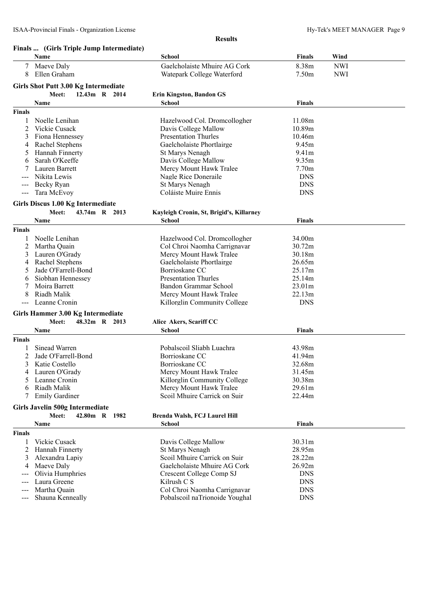|               |                                          | <b>Results</b>                                               |                  |            |
|---------------|------------------------------------------|--------------------------------------------------------------|------------------|------------|
|               | Finals  (Girls Triple Jump Intermediate) |                                                              |                  |            |
|               | Name                                     | School                                                       | <b>Finals</b>    | Wind       |
| 7             | Maeve Daly                               | Gaelcholaiste Mhuire AG Cork                                 | 8.38m            | <b>NWI</b> |
| 8             | Ellen Graham                             | Watepark College Waterford                                   | 7.50m            | <b>NWI</b> |
|               | Girls Shot Putt 3.00 Kg Intermediate     |                                                              |                  |            |
|               | 12.43m R 2014<br>Meet:                   | Erin Kingston, Bandon GS                                     |                  |            |
|               | Name                                     | <b>School</b>                                                | <b>Finals</b>    |            |
| Finals        |                                          |                                                              |                  |            |
| 1             | Noelle Lenihan                           | Hazelwood Col. Dromcollogher                                 | 11.08m           |            |
| 2             | Vickie Cusack                            | Davis College Mallow                                         | 10.89m           |            |
| 3             | Fiona Hennessey                          | <b>Presentation Thurles</b>                                  | 10.46m           |            |
| 4             | Rachel Stephens                          | Gaelcholaiste Phortlairge                                    | 9.45m            |            |
| 5             | Hannah Finnerty                          | St Marys Nenagh                                              | 9.41m            |            |
| 6             | Sarah O'Keeffe                           | Davis College Mallow                                         | 9.35m            |            |
| 7             | Lauren Barrett                           | Mercy Mount Hawk Tralee                                      | 7.70m            |            |
|               | Nikita Lewis                             | Nagle Rice Doneraile                                         | <b>DNS</b>       |            |
| ---           | Becky Ryan                               | St Marys Nenagh                                              | <b>DNS</b>       |            |
| $---$         | Tara McEvoy                              | Coláiste Muire Ennis                                         | <b>DNS</b>       |            |
|               | Girls Discus 1.00 Kg Intermediate        |                                                              |                  |            |
|               | 43.74m R 2013<br>Meet:                   | Kayleigh Cronin, St, Brigid's, Killarney                     |                  |            |
|               | Name                                     | School                                                       | <b>Finals</b>    |            |
|               |                                          |                                                              |                  |            |
| <b>Finals</b> |                                          |                                                              |                  |            |
| 1             | Noelle Lenihan                           | Hazelwood Col. Dromcollogher<br>Col Chroi Naomha Carrignavar | 34.00m<br>30.72m |            |
| 2             | Martha Quain                             |                                                              |                  |            |
| 3             | Lauren O'Grady<br>Rachel Stephens        | Mercy Mount Hawk Tralee                                      | 30.18m<br>26.65m |            |
| 4<br>5        | Jade O'Farrell-Bond                      | Gaelcholaiste Phortlairge<br>Borrioskane CC                  |                  |            |
|               | Siobhan Hennessey                        | <b>Presentation Thurles</b>                                  | 25.17m<br>25.14m |            |
| 6<br>7        | Moira Barrett                            | Bandon Grammar School                                        | 23.01m           |            |
| 8             | Riadh Malik                              | Mercy Mount Hawk Tralee                                      | 22.13m           |            |
| $---$         | Leanne Cronin                            | Killorglin Community College                                 | <b>DNS</b>       |            |
|               |                                          |                                                              |                  |            |
|               | Girls Hammer 3.00 Kg Intermediate        |                                                              |                  |            |
|               | Meet:<br>48.32m R 2013                   | Alice Akers, Scariff CC                                      |                  |            |
|               | Name                                     | School                                                       | <b>Finals</b>    |            |
| <b>Finals</b> |                                          |                                                              |                  |            |
|               | Sinead Warren                            | Pobalscoil Sliabh Luachra                                    | 43.98m           |            |
| 2             | Jade O'Farrell-Bond                      | Borrioskane CC                                               | 41.94m           |            |
| 3             | Katie Costello                           | Borrioskane CC                                               | 32.68m           |            |
| 4             | Lauren O'Grady                           | Mercy Mount Hawk Tralee                                      | 31.45m           |            |
| 5             | Leanne Cronin                            | Killorglin Community College                                 | 30.38m           |            |
| 6             | Riadh Malik                              | Mercy Mount Hawk Tralee                                      | 29.61m           |            |
| 7             | <b>Emily Gardiner</b>                    | Scoil Mhuire Carrick on Suir                                 | 22.44m           |            |
|               | Girls Javelin 500g Intermediate          |                                                              |                  |            |
|               | Meet:<br>42.80m R 1982                   | Brenda Walsh, FCJ Laurel Hill                                |                  |            |
|               | Name                                     | <b>School</b>                                                | Finals           |            |
| <b>Finals</b> |                                          |                                                              |                  |            |
| 1             | Vickie Cusack                            | Davis College Mallow                                         | 30.31m           |            |
| 2             | Hannah Finnerty                          | <b>St Marys Nenagh</b>                                       | 28.95m           |            |
| 3             | Alexandra Lapiy                          | Scoil Mhuire Carrick on Suir                                 | 28.22m           |            |
| 4             | Maeve Daly                               | Gaelcholaiste Mhuire AG Cork                                 | 26.92m           |            |
|               | Olivia Humphries                         | Crescent College Comp SJ                                     | <b>DNS</b>       |            |
| ---           | Laura Greene                             | Kilrush C S                                                  | <b>DNS</b>       |            |
| ---           | Martha Quain                             | Col Chroi Naomha Carrignavar                                 | <b>DNS</b>       |            |
| $---$         | Shauna Kenneally                         | Pobalscoil naTrionoide Youghal                               | <b>DNS</b>       |            |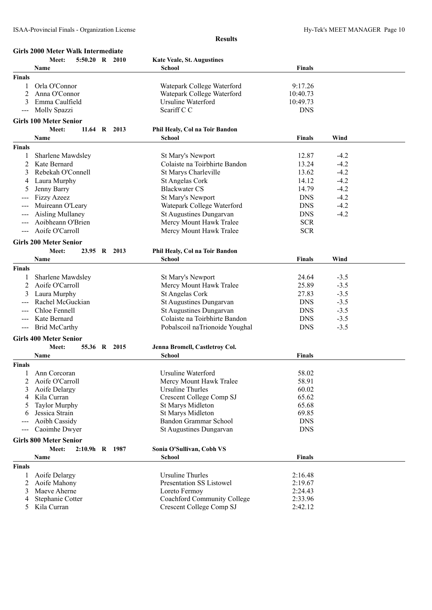|               | <b>Girls 2000 Meter Walk Intermediate</b> |              |                                    |               |        |
|---------------|-------------------------------------------|--------------|------------------------------------|---------------|--------|
|               | 5:50.20 R 2010<br>Meet:                   |              | <b>Kate Veale, St. Augustines</b>  |               |        |
|               | Name                                      |              | School                             | <b>Finals</b> |        |
| <b>Finals</b> |                                           |              |                                    |               |        |
| 1             | Orla O'Connor                             |              | Watepark College Waterford         | 9:17.26       |        |
| 2             | Anna O'Connor                             |              | Watepark College Waterford         | 10:40.73      |        |
| 3             | Emma Caulfield                            |              | <b>Ursuline Waterford</b>          | 10:49.73      |        |
| ---           | Molly Spazzi                              |              | Scariff C C                        | <b>DNS</b>    |        |
|               | <b>Girls 100 Meter Senior</b>             |              |                                    |               |        |
|               | Meet:                                     | 11.64 R 2013 | Phil Healy, Col na Toir Bandon     |               |        |
|               | Name                                      |              | <b>School</b>                      | Finals        | Wind   |
| <b>Finals</b> |                                           |              |                                    |               |        |
|               |                                           |              |                                    | 12.87         |        |
| 1             | Sharlene Mawdsley                         |              | St Mary's Newport                  |               | $-4.2$ |
| 2             | Kate Bernard                              |              | Colaiste na Toirbhirte Bandon      | 13.24         | $-4.2$ |
| 3             | Rebekah O'Connell                         |              | St Marys Charleville               | 13.62         | $-4.2$ |
| 4             | Laura Murphy                              |              | St Angelas Cork                    | 14.12         | $-4.2$ |
| 5             | Jenny Barry                               |              | <b>Blackwater CS</b>               | 14.79         | $-4.2$ |
|               | <b>Fizzy Azeez</b>                        |              | St Mary's Newport                  | <b>DNS</b>    | $-4.2$ |
|               | Muireann O'Leary                          |              | Watepark College Waterford         | <b>DNS</b>    | $-4.2$ |
| ---           | <b>Aisling Mullaney</b>                   |              | St Augustines Dungarvan            | <b>DNS</b>    | $-4.2$ |
|               | Aoibheann O'Brien                         |              | Mercy Mount Hawk Tralee            | <b>SCR</b>    |        |
| $---$         | Aoife O'Carroll                           |              | Mercy Mount Hawk Tralee            | <b>SCR</b>    |        |
|               |                                           |              |                                    |               |        |
|               | <b>Girls 200 Meter Senior</b>             |              |                                    |               |        |
|               | Meet:                                     | 23.95 R 2013 | Phil Healy, Col na Toir Bandon     |               |        |
|               | Name                                      |              | School                             | <b>Finals</b> | Wind   |
| <b>Finals</b> |                                           |              |                                    |               |        |
| 1             | Sharlene Mawdsley                         |              | St Mary's Newport                  | 24.64         | $-3.5$ |
| 2             | Aoife O'Carroll                           |              | Mercy Mount Hawk Tralee            | 25.89         | $-3.5$ |
| 3             | Laura Murphy                              |              | St Angelas Cork                    | 27.83         | $-3.5$ |
|               | Rachel McGuckian                          |              | St Augustines Dungarvan            | <b>DNS</b>    | $-3.5$ |
|               | Chloe Fennell                             |              | St Augustines Dungarvan            | <b>DNS</b>    | $-3.5$ |
|               | Kate Bernard                              |              | Colaiste na Toirbhirte Bandon      | <b>DNS</b>    | $-3.5$ |
| $---$         | <b>Brid McCarthy</b>                      |              | Pobalscoil naTrionoide Youghal     | <b>DNS</b>    | $-3.5$ |
|               |                                           |              |                                    |               |        |
|               | <b>Girls 400 Meter Senior</b>             |              |                                    |               |        |
|               | Meet:                                     | 55.36 R 2015 | Jenna Bromell, Castletroy Col.     |               |        |
|               | Name                                      |              | <b>School</b>                      | <b>Finals</b> |        |
| <b>Finals</b> |                                           |              |                                    |               |        |
|               | 1 Ann Corcoran                            |              | Ursuline Waterford                 | 58.02         |        |
|               | Aoife O'Carroll                           |              | Mercy Mount Hawk Tralee            | 58.91         |        |
| 3             | Aoife Delargy                             |              | Ursuline Thurles                   | 60.02         |        |
| 4             | Kila Curran                               |              | Crescent College Comp SJ           | 65.62         |        |
|               | <b>Taylor Murphy</b>                      |              | <b>St Marys Midleton</b>           | 65.68         |        |
| 6             | Jessica Strain                            |              | St Marys Midleton                  | 69.85         |        |
|               | Aoibh Cassidy                             |              | Bandon Grammar School              | <b>DNS</b>    |        |
|               | Caoimhe Dwyer                             |              | St Augustines Dungarvan            | <b>DNS</b>    |        |
|               | <b>Girls 800 Meter Senior</b>             |              |                                    |               |        |
|               | Meet:<br>2:10.9h R 1987                   |              | Sonia O'Sullivan, Cobh VS          |               |        |
|               | Name                                      |              | School                             | <b>Finals</b> |        |
| <b>Finals</b> |                                           |              |                                    |               |        |
|               |                                           |              |                                    |               |        |
|               | Aoife Delargy                             |              | Ursuline Thurles                   | 2:16.48       |        |
| 2             | Aoife Mahony                              |              | Presentation SS Listowel           | 2:19.67       |        |
| 3             | Maeve Aherne                              |              | Loreto Fermoy                      | 2:24.43       |        |
| 4             | Stephanie Cotter                          |              | <b>Coachford Community College</b> | 2:33.96       |        |
| 5             | Kila Curran                               |              | Crescent College Comp SJ           | 2:42.12       |        |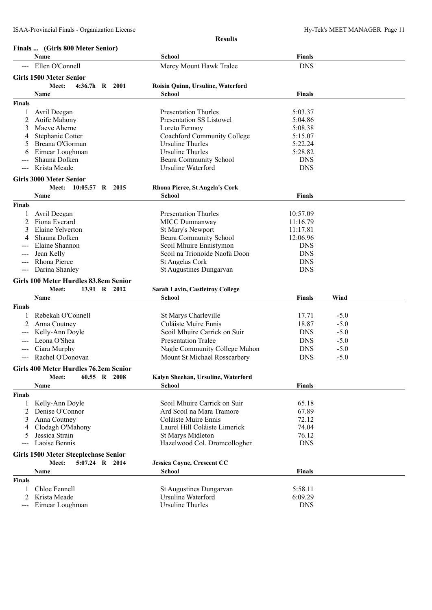|               | Finals  (Girls 800 Meter Senior)            |              |                                                      |                       |        |
|---------------|---------------------------------------------|--------------|------------------------------------------------------|-----------------------|--------|
|               | Name                                        |              | <b>School</b>                                        | <b>Finals</b>         |        |
|               | Ellen O'Connell                             |              | Mercy Mount Hawk Tralee                              | <b>DNS</b>            |        |
|               | <b>Girls 1500 Meter Senior</b>              |              |                                                      |                       |        |
|               | Meet:<br>$4:36.7h$ R $2001$                 |              | Roisin Quinn, Ursuline, Waterford                    |                       |        |
|               | Name                                        |              | School                                               | <b>Finals</b>         |        |
| <b>Finals</b> |                                             |              |                                                      |                       |        |
| 1             | Avril Deegan                                |              | <b>Presentation Thurles</b>                          | 5:03.37               |        |
| 2             | Aoife Mahony                                |              | Presentation SS Listowel                             | 5:04.86               |        |
| 3             | Maeve Aherne                                |              | Loreto Fermoy                                        | 5:08.38               |        |
| 4             | Stephanie Cotter                            |              | <b>Coachford Community College</b>                   | 5:15.07               |        |
| 5             | Breana O'Gorman                             |              | Ursuline Thurles                                     | 5:22.24               |        |
| 6             | Eimear Loughman                             |              | Ursuline Thurles                                     | 5:28.82               |        |
|               | Shauna Dolken                               |              | Beara Community School                               | <b>DNS</b>            |        |
|               | Krista Meade                                |              | <b>Ursuline Waterford</b>                            | <b>DNS</b>            |        |
|               | <b>Girls 3000 Meter Senior</b>              |              |                                                      |                       |        |
|               | Meet:<br>$10:05.57$ R 2015                  |              | <b>Rhona Pierce, St Angela's Cork</b>                |                       |        |
|               | Name                                        |              | <b>School</b>                                        | <b>Finals</b>         |        |
| <b>Finals</b> |                                             |              |                                                      |                       |        |
|               | Avril Deegan                                |              |                                                      |                       |        |
| 1<br>2        | Fiona Everard                               |              | <b>Presentation Thurles</b><br><b>MICC Dunmanway</b> | 10:57.09<br>11:16.79  |        |
| 3             | Elaine Yelverton                            |              | St Mary's Newport                                    | 11:17.81              |        |
| 4             | Shauna Dolken                               |              | <b>Beara Community School</b>                        | 12:06.96              |        |
|               | Elaine Shannon                              |              | Scoil Mhuire Ennistymon                              | <b>DNS</b>            |        |
|               | Jean Kelly                                  |              | Scoil na Trionoide Naofa Doon                        | <b>DNS</b>            |        |
|               | Rhona Pierce                                |              | St Angelas Cork                                      | <b>DNS</b>            |        |
| $---$         | Darina Shanley                              |              | St Augustines Dungarvan                              | <b>DNS</b>            |        |
|               |                                             |              |                                                      |                       |        |
|               | Girls 100 Meter Hurdles 83.8cm Senior       |              |                                                      |                       |        |
|               | Meet:                                       | 13.91 R 2012 | <b>Sarah Lavin, Castletroy College</b>               |                       |        |
|               | Name                                        |              | <b>School</b>                                        | <b>Finals</b>         | Wind   |
| <b>Finals</b> |                                             |              |                                                      |                       |        |
|               | Rebekah O'Connell                           |              | St Marys Charleville                                 | 17.71                 | $-5.0$ |
| 2             | Anna Coutney                                |              | Coláiste Muire Ennis                                 | 18.87                 | $-5.0$ |
|               | Kelly-Ann Doyle                             |              | Scoil Mhuire Carrick on Suir                         | <b>DNS</b>            | $-5.0$ |
|               | Leona O'Shea                                |              | <b>Presentation Tralee</b>                           | <b>DNS</b>            | $-5.0$ |
| $---$         | Ciara Murphy                                |              | Nagle Community College Mahon                        | <b>DNS</b>            | $-5.0$ |
| ---           | Rachel O'Donovan                            |              | Mount St Michael Rosscarbery                         | <b>DNS</b>            | $-5.0$ |
|               | Girls 400 Meter Hurdles 76.2cm Senior       |              |                                                      |                       |        |
|               | Meet:                                       | 60.55 R 2008 | Kalyn Sheehan, Ursuline, Waterford                   |                       |        |
|               | Name                                        |              | <b>School</b>                                        | <b>Finals</b>         |        |
| <b>Finals</b> |                                             |              |                                                      |                       |        |
| 1             | Kelly-Ann Doyle                             |              | Scoil Mhuire Carrick on Suir                         | 65.18                 |        |
| 2             | Denise O'Connor                             |              | Ard Scoil na Mara Tramore                            | 67.89                 |        |
| 3             | Anna Coutney                                |              | Coláiste Muire Ennis                                 | 72.12                 |        |
| 4             | Clodagh O'Mahony                            |              | Laurel Hill Coláiste Limerick                        | 74.04                 |        |
| 5             | Jessica Strain                              |              | <b>St Marys Midleton</b>                             | 76.12                 |        |
|               | Laoise Bennis                               |              | Hazelwood Col. Dromcollogher                         | <b>DNS</b>            |        |
|               | <b>Girls 1500 Meter Steeplechase Senior</b> |              |                                                      |                       |        |
|               | Meet:<br>5:07.24 R 2014                     |              | <b>Jessica Coyne, Crescent CC</b>                    |                       |        |
|               | Name                                        |              | School                                               | <b>Finals</b>         |        |
|               |                                             |              |                                                      |                       |        |
| <b>Finals</b> |                                             |              |                                                      |                       |        |
| 1             | Chloe Fennell                               |              | St Augustines Dungarvan                              | 5:58.11               |        |
| 2             | Krista Meade                                |              | <b>Ursuline Waterford</b>                            | 6:09.29<br><b>DNS</b> |        |
|               | Eimear Loughman                             |              | Ursuline Thurles                                     |                       |        |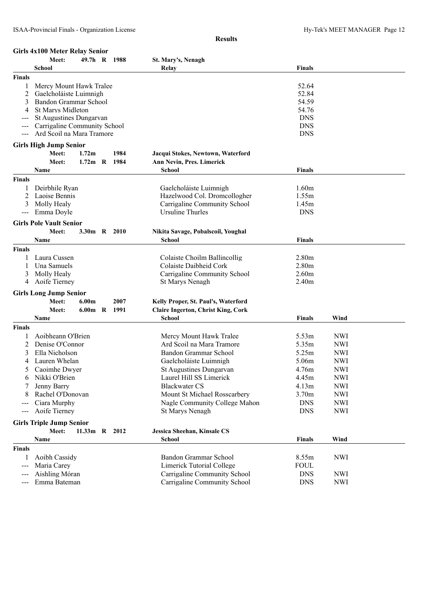# **Girls 4x100 Meter Relay Senior**

|  | <b>St. Mary's, Nenagh</b> |  |
|--|---------------------------|--|

|                     | Meet:<br><b>School</b>          |                   |     | 49.7h R 1988 | St. Mary's, Nenagh<br>Relay               | <b>Finals</b>     |            |  |
|---------------------|---------------------------------|-------------------|-----|--------------|-------------------------------------------|-------------------|------------|--|
| Finals              |                                 |                   |     |              |                                           |                   |            |  |
|                     | Mercy Mount Hawk Tralee         |                   |     |              |                                           | 52.64             |            |  |
| 2                   | Gaelcholáiste Luimnigh          |                   |     |              |                                           | 52.84             |            |  |
| 3                   | Bandon Grammar School           |                   |     |              |                                           | 54.59             |            |  |
| 4                   | St Marys Midleton               |                   |     |              |                                           | 54.76             |            |  |
|                     | St Augustines Dungarvan         |                   |     |              |                                           | <b>DNS</b>        |            |  |
| $---$               | Carrigaline Community School    |                   |     |              |                                           | <b>DNS</b>        |            |  |
|                     | Ard Scoil na Mara Tramore       |                   |     |              |                                           | <b>DNS</b>        |            |  |
|                     | <b>Girls High Jump Senior</b>   |                   |     |              |                                           |                   |            |  |
|                     | Meet:                           | 1.72 <sub>m</sub> |     | 1984         | Jacqui Stokes, Newtown, Waterford         |                   |            |  |
|                     | Meet:                           | $1.72m$ R         |     | 1984         | Ann Nevin, Pres. Limerick                 |                   |            |  |
|                     | Name                            |                   |     |              | <b>School</b>                             | <b>Finals</b>     |            |  |
| <b>Finals</b>       |                                 |                   |     |              |                                           |                   |            |  |
|                     | Deirbhile Ryan                  |                   |     |              | Gaelcholáiste Luimnigh                    | 1.60m             |            |  |
| 2                   | Laoise Bennis                   |                   |     |              | Hazelwood Col. Dromcollogher              | 1.55m             |            |  |
| 3                   | Molly Healy                     |                   |     |              | Carrigaline Community School              | 1.45m             |            |  |
| $---$               | Emma Doyle                      |                   |     |              | Ursuline Thurles                          | <b>DNS</b>        |            |  |
|                     | <b>Girls Pole Vault Senior</b>  |                   |     |              |                                           |                   |            |  |
|                     | Meet:                           | 3.30m R 2010      |     |              | Nikita Savage, Pobalscoil, Youghal        |                   |            |  |
|                     | Name                            |                   |     |              | School                                    | <b>Finals</b>     |            |  |
| <b>Finals</b>       |                                 |                   |     |              |                                           |                   |            |  |
|                     | Laura Cussen                    |                   |     |              | Colaiste Choilm Ballincollig              | 2.80 <sub>m</sub> |            |  |
|                     | Una Samuels                     |                   |     |              | Colaiste Daibheid Cork                    | 2.80m             |            |  |
| 3                   | Molly Healy                     |                   |     |              | Carrigaline Community School              | 2.60m             |            |  |
| 4                   | Aoife Tierney                   |                   |     |              | <b>St Marys Nenagh</b>                    | 2.40m             |            |  |
|                     | <b>Girls Long Jump Senior</b>   |                   |     |              |                                           |                   |            |  |
|                     | Meet:                           | 6.00 <sub>m</sub> |     | 2007         | Kelly Proper, St. Paul's, Waterford       |                   |            |  |
|                     | Meet:                           | 6.00m             | - R | 1991         | <b>Claire Ingerton, Christ King, Cork</b> |                   |            |  |
|                     | Name                            |                   |     |              | School                                    | <b>Finals</b>     | Wind       |  |
| Finals              |                                 |                   |     |              |                                           |                   |            |  |
| 1                   | Aoibheann O'Brien               |                   |     |              | Mercy Mount Hawk Tralee                   | 5.53m             | <b>NWI</b> |  |
| 2                   | Denise O'Connor                 |                   |     |              | Ard Scoil na Mara Tramore                 | 5.35m             | <b>NWI</b> |  |
| 3                   | Ella Nicholson                  |                   |     |              | Bandon Grammar School                     | 5.25m             | <b>NWI</b> |  |
| 4                   | Lauren Whelan                   |                   |     |              | Gaelcholáiste Luimnigh                    | 5.06m             | <b>NWI</b> |  |
| 5                   | Caoimhe Dwyer                   |                   |     |              | <b>St Augustines Dungarvan</b>            | 4.76m             | <b>NWI</b> |  |
| 6                   | Nikki O'Brien                   |                   |     |              | Laurel Hill SS Limerick                   | 4.45m             | <b>NWI</b> |  |
|                     | Jenny Barry                     |                   |     |              | <b>Blackwater CS</b>                      | 4.13m             | <b>NWI</b> |  |
|                     | Rachel O'Donovan                |                   |     |              | Mount St Michael Rosscarbery              | 3.70m             | <b>NWI</b> |  |
|                     | Ciara Murphy                    |                   |     |              | Nagle Community College Mahon             | <b>DNS</b>        | <b>NWI</b> |  |
| $\qquad \qquad - -$ | Aoife Tierney                   |                   |     |              | St Marys Nenagh                           | <b>DNS</b>        | <b>NWI</b> |  |
|                     | <b>Girls Triple Jump Senior</b> |                   |     |              |                                           |                   |            |  |
|                     | Meet:                           | 11.33m R 2012     |     |              | Jessica Sheehan, Kinsale CS               |                   |            |  |
|                     | Name                            |                   |     |              | <b>School</b>                             | <b>Finals</b>     | Wind       |  |
| Finals              |                                 |                   |     |              |                                           |                   |            |  |
| 1                   | Aoibh Cassidy                   |                   |     |              | Bandon Grammar School                     | 8.55m             | <b>NWI</b> |  |
| $---$               | Maria Carey                     |                   |     |              | <b>Limerick Tutorial College</b>          | <b>FOUL</b>       |            |  |
| ---                 | Aishling Móran                  |                   |     |              | Carrigaline Community School              | <b>DNS</b>        | <b>NWI</b> |  |
| ---                 | Emma Bateman                    |                   |     |              | Carrigaline Community School              | <b>DNS</b>        | <b>NWI</b> |  |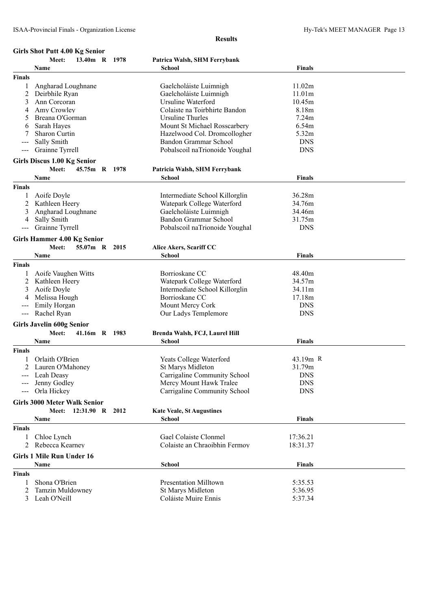#### **Girls Shot Putt 4.00 Kg Senior**

|                     | Meet:                               | 13.40m R 1978         |  | Patrica Walsh, SHM Ferrybank     |               |  |
|---------------------|-------------------------------------|-----------------------|--|----------------------------------|---------------|--|
|                     | Name                                |                       |  | School                           | <b>Finals</b> |  |
| <b>Finals</b>       |                                     |                       |  |                                  |               |  |
| 1                   | Angharad Loughnane                  |                       |  | Gaelcholáiste Luimnigh           | 11.02m        |  |
| 2                   | Deirbhile Ryan                      |                       |  | Gaelcholáiste Luimnigh           | 11.01m        |  |
| 3                   | Ann Corcoran                        |                       |  | <b>Ursuline Waterford</b>        | 10.45m        |  |
| 4                   | Amy Crowley                         |                       |  | Colaiste na Toirbhirte Bandon    | 8.18m         |  |
| 5                   | Breana O'Gorman                     |                       |  | Ursuline Thurles                 | 7.24m         |  |
| 6                   | Sarah Hayes                         |                       |  | Mount St Michael Rosscarbery     | 6.54m         |  |
| 7                   | <b>Sharon Curtin</b>                |                       |  | Hazelwood Col. Dromcollogher     | 5.32m         |  |
|                     | Sally Smith                         |                       |  | Bandon Grammar School            | <b>DNS</b>    |  |
| $---$               | Grainne Tyrrell                     |                       |  | Pobalscoil naTrionoide Youghal   | <b>DNS</b>    |  |
|                     |                                     |                       |  |                                  |               |  |
|                     | <b>Girls Discus 1.00 Kg Senior</b>  |                       |  |                                  |               |  |
|                     | Meet:                               | 45.75m R 1978         |  | Patricia Walsh, SHM Ferrybank    |               |  |
|                     | Name                                |                       |  | School                           | <b>Finals</b> |  |
| <b>Finals</b>       |                                     |                       |  |                                  |               |  |
| 1                   | Aoife Doyle                         |                       |  | Intermediate School Killorglin   | 36.28m        |  |
| 2                   | Kathleen Heery                      |                       |  | Watepark College Waterford       | 34.76m        |  |
| 3                   | Angharad Loughnane                  |                       |  | Gaelcholáiste Luimnigh           | 34.46m        |  |
| 4                   | Sally Smith                         |                       |  | Bandon Grammar School            | 31.75m        |  |
| $---$               | Grainne Tyrrell                     |                       |  | Pobalscoil naTrionoide Youghal   | <b>DNS</b>    |  |
|                     |                                     |                       |  |                                  |               |  |
|                     | <b>Girls Hammer 4.00 Kg Senior</b>  |                       |  |                                  |               |  |
|                     | Meet:                               | 55.07m R 2015         |  | Alice Akers, Scariff CC          |               |  |
|                     | Name                                |                       |  | <b>School</b>                    | Finals        |  |
| <b>Finals</b>       |                                     |                       |  |                                  |               |  |
| 1                   | Aoife Vaughen Witts                 |                       |  | Borrioskane CC                   | 48.40m        |  |
| 2                   | Kathleen Heery                      |                       |  | Watepark College Waterford       | 34.57m        |  |
| 3                   | Aoife Doyle                         |                       |  | Intermediate School Killorglin   | 34.11m        |  |
| 4                   | Melissa Hough                       |                       |  | Borrioskane CC                   | 17.18m        |  |
| $\qquad \qquad - -$ | Emily Horgan                        |                       |  | Mount Mercy Cork                 | <b>DNS</b>    |  |
| $---$               | Rachel Ryan                         |                       |  | Our Ladys Templemore             | <b>DNS</b>    |  |
|                     |                                     |                       |  |                                  |               |  |
|                     | <b>Girls Javelin 600g Senior</b>    |                       |  |                                  |               |  |
|                     | Meet:                               | 41.16m R 1983         |  | Brenda Walsh, FCJ, Laurel Hill   |               |  |
|                     | Name                                |                       |  | School                           | <b>Finals</b> |  |
| <b>Finals</b>       |                                     |                       |  |                                  |               |  |
| 1                   | Orlaith O'Brien                     |                       |  | Yeats College Waterford          | $43.19m$ R    |  |
| 2                   | Lauren O'Mahoney                    |                       |  | <b>St Marys Midleton</b>         | 31.79m        |  |
|                     | --- Leah Deasy                      |                       |  | Carrigaline Community School     | <b>DNS</b>    |  |
|                     | Jenny Godley                        |                       |  | Mercy Mount Hawk Tralee          | <b>DNS</b>    |  |
|                     | Orla Hickey                         |                       |  | Carrigaline Community School     | <b>DNS</b>    |  |
|                     |                                     |                       |  |                                  |               |  |
|                     | <b>Girls 3000 Meter Walk Senior</b> |                       |  |                                  |               |  |
|                     |                                     | Meet: 12:31.90 R 2012 |  | <b>Kate Veale, St Augustines</b> |               |  |
|                     | Name                                |                       |  | <b>School</b>                    | <b>Finals</b> |  |
| <b>Finals</b>       |                                     |                       |  |                                  |               |  |
| 1                   | Chloe Lynch                         |                       |  | Gael Colaiste Clonmel            | 17:36.21      |  |
|                     | 2 Rebecca Kearney                   |                       |  | Colaiste an Chraoibhin Fermoy    | 18:31.37      |  |
|                     |                                     |                       |  |                                  |               |  |
|                     | <b>Girls 1 Mile Run Under 16</b>    |                       |  |                                  |               |  |
|                     | Name                                |                       |  | School                           | <b>Finals</b> |  |
| <b>Finals</b>       |                                     |                       |  |                                  |               |  |
| 1                   | Shona O'Brien                       |                       |  | <b>Presentation Milltown</b>     | 5:35.53       |  |
| 2                   | Tamzin Muldowney                    |                       |  | St Marys Midleton                | 5:36.95       |  |
|                     | 3 Leah O'Neill                      |                       |  | Coláiste Muire Ennis             | 5:37.34       |  |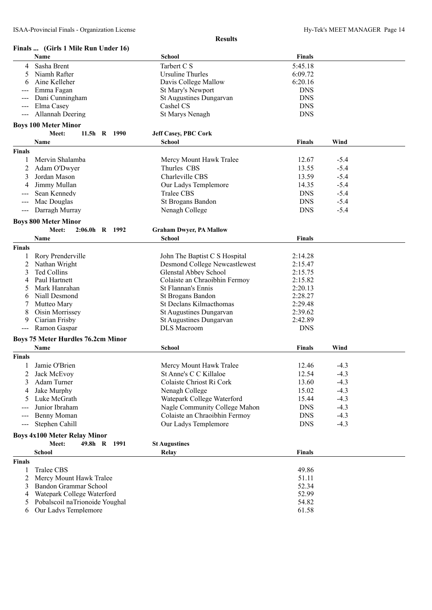|               | Finals  (Girls 1 Mile Run Under 16)       |                                                               |                    |        |  |
|---------------|-------------------------------------------|---------------------------------------------------------------|--------------------|--------|--|
|               | Name                                      | School                                                        | Finals             |        |  |
| 4             | Sasha Brent                               | Tarbert C S                                                   | 5:45.18            |        |  |
| 5             | Niamh Rafter                              | <b>Ursuline Thurles</b>                                       | 6:09.72            |        |  |
|               | Aine Kelleher                             | Davis College Mallow                                          | 6:20.16            |        |  |
|               | Emma Fagan                                | St Mary's Newport                                             | <b>DNS</b>         |        |  |
|               | Dani Cunningham                           | St Augustines Dungarvan                                       | <b>DNS</b>         |        |  |
|               | Elma Casey                                | Cashel CS                                                     | <b>DNS</b>         |        |  |
|               | Allannah Deering                          | St Marys Nenagh                                               | <b>DNS</b>         |        |  |
|               |                                           |                                                               |                    |        |  |
|               | <b>Boys 100 Meter Minor</b>               |                                                               |                    |        |  |
|               | Meet:<br>11.5h R 1990                     | <b>Jeff Casey, PBC Cork</b>                                   |                    |        |  |
|               | <b>Name</b>                               | <b>School</b>                                                 | <b>Finals</b>      | Wind   |  |
| <b>Finals</b> |                                           |                                                               |                    |        |  |
|               | Mervin Shalamba                           | Mercy Mount Hawk Tralee                                       | 12.67              | $-5.4$ |  |
| 2             | Adam O'Dwyer                              | Thurles CBS                                                   | 13.55              | $-5.4$ |  |
| 3             | Jordan Mason                              | Charleville CBS                                               | 13.59              | $-5.4$ |  |
| 4             | Jimmy Mullan                              | Our Ladys Templemore                                          | 14.35              | $-5.4$ |  |
|               | Sean Kennedy                              | <b>Tralee CBS</b>                                             | <b>DNS</b>         | $-5.4$ |  |
|               | Mac Douglas                               | St Brogans Bandon                                             | <b>DNS</b>         | $-5.4$ |  |
| $---$         | Darragh Murray                            | Nenagh College                                                | <b>DNS</b>         | $-5.4$ |  |
|               | <b>Boys 800 Meter Minor</b>               |                                                               |                    |        |  |
|               | Meet:<br>$2:06.0h$ R 1992                 | <b>Graham Dwyer, PA Mallow</b>                                |                    |        |  |
|               | Name                                      | <b>School</b>                                                 | Finals             |        |  |
| <b>Finals</b> |                                           |                                                               |                    |        |  |
|               |                                           |                                                               |                    |        |  |
|               | Rory Prenderville                         | John The Baptist C S Hospital                                 | 2:14.28<br>2:15.47 |        |  |
| 2<br>3        | Nathan Wright<br>Ted Collins              | <b>Desmond College Newcastlewest</b><br>Glenstal Abbey School | 2:15.75            |        |  |
| 4             | Paul Hartnett                             | Colaiste an Chraoibhin Fermoy                                 | 2:15.82            |        |  |
| 5             | Mark Hanrahan                             | St Flannan's Ennis                                            | 2:20.13            |        |  |
|               | Niall Desmond                             | St Brogans Bandon                                             | 2:28.27            |        |  |
| 6             | Mutteo Mary                               | St Declans Kilmacthomas                                       | 2:29.48            |        |  |
| 8             | Oisin Morrissey                           | St Augustines Dungarvan                                       | 2:39.62            |        |  |
| 9             | Ciarian Frisby                            | St Augustines Dungarvan                                       | 2:42.89            |        |  |
|               | Ramon Gaspar                              | DLS Macroom                                                   | <b>DNS</b>         |        |  |
| $---$         |                                           |                                                               |                    |        |  |
|               | <b>Boys 75 Meter Hurdles 76.2cm Minor</b> |                                                               |                    |        |  |
|               | Name                                      | <b>School</b>                                                 | Finals             | Wind   |  |
| <b>Finals</b> |                                           |                                                               |                    |        |  |
|               | Jamie O'Brien                             | Mercy Mount Hawk Tralee                                       | 12.46              | $-4.3$ |  |
| 2             | Jack McEvoy                               | St Anne's C C Killaloe                                        | 12.54              | $-4.3$ |  |
| 3             | Adam Turner                               | Colaiste Chriost Ri Cork                                      | 13.60              | $-4.3$ |  |
| 4             | Jake Murphy                               | Nenagh College                                                | 15.02              | $-4.3$ |  |
| 5             | Luke McGrath                              | Watepark College Waterford                                    | 15.44              | $-4.3$ |  |
|               | Junior Ibraham                            | Nagle Community College Mahon                                 | <b>DNS</b>         | $-4.3$ |  |
|               | Benny Moman                               | Colaiste an Chraoibhin Fermoy                                 | <b>DNS</b>         | $-4.3$ |  |
| $---$         | Stephen Cahill                            | Our Ladys Templemore                                          | <b>DNS</b>         | $-4.3$ |  |
|               |                                           |                                                               |                    |        |  |
|               | <b>Boys 4x100 Meter Relay Minor</b>       |                                                               |                    |        |  |
|               | Meet:<br>49.8h R 1991                     | <b>St Augustines</b>                                          |                    |        |  |
|               | <b>School</b>                             | Relay                                                         | <b>Finals</b>      |        |  |
| <b>Finals</b> |                                           |                                                               |                    |        |  |
|               | Tralee CBS                                |                                                               | 49.86              |        |  |
| 2             | Mercy Mount Hawk Tralee                   |                                                               | 51.11              |        |  |
| 3             | Bandon Grammar School                     |                                                               | 52.34              |        |  |
| 4             | Watepark College Waterford                |                                                               | 52.99              |        |  |
| 5             | Pobalscoil naTrionoide Youghal            |                                                               | 54.82              |        |  |
| 6             | Our Ladys Templemore                      |                                                               | 61.58              |        |  |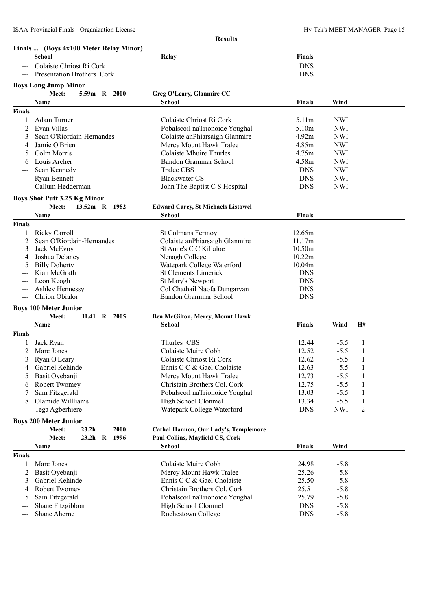|               | Finals  (Boys 4x100 Meter Relay Minor) |                                           |               |            |                |  |
|---------------|----------------------------------------|-------------------------------------------|---------------|------------|----------------|--|
|               | <b>School</b>                          | Relay                                     | <b>Finals</b> |            |                |  |
|               | --- Colaiste Chriost Ri Cork           |                                           | <b>DNS</b>    |            |                |  |
| $\frac{1}{2}$ | Presentation Brothers Cork             |                                           | <b>DNS</b>    |            |                |  |
|               | <b>Boys Long Jump Minor</b>            |                                           |               |            |                |  |
|               | Meet:<br>5.59m R 2000                  | Greg O'Leary, Glanmire CC                 |               |            |                |  |
|               | Name                                   | <b>School</b>                             | <b>Finals</b> | Wind       |                |  |
| <b>Finals</b> |                                        |                                           |               |            |                |  |
|               | Adam Turner                            | Colaiste Chriost Ri Cork                  | 5.11m         | <b>NWI</b> |                |  |
| 2             | Evan Villas                            | Pobalscoil naTrionoide Youghal            | 5.10m         | <b>NWI</b> |                |  |
| 3             | Sean O'Riordain-Hernandes              | Colaiste anPhiarsaigh Glanmire            | 4.92m         | <b>NWI</b> |                |  |
| 4             | Jamie O'Brien                          | Mercy Mount Hawk Tralee                   | 4.85m         | <b>NWI</b> |                |  |
| 5             | Colm Morris                            | <b>Colaiste Mhuire Thurles</b>            | 4.75m         | <b>NWI</b> |                |  |
| 6             | Louis Archer                           | Bandon Grammar School                     | 4.58m         | <b>NWI</b> |                |  |
|               | Sean Kennedy                           | Tralee CBS                                | <b>DNS</b>    | <b>NWI</b> |                |  |
|               | <b>Ryan Bennett</b>                    | <b>Blackwater CS</b>                      | <b>DNS</b>    | <b>NWI</b> |                |  |
| $\frac{1}{2}$ | Callum Hedderman                       | John The Baptist C S Hospital             | <b>DNS</b>    | <b>NWI</b> |                |  |
|               |                                        |                                           |               |            |                |  |
|               | <b>Boys Shot Putt 3.25 Kg Minor</b>    |                                           |               |            |                |  |
|               | Meet:<br>13.52m R 1982                 | <b>Edward Carey, St Michaels Listowel</b> |               |            |                |  |
|               | Name                                   | School                                    | <b>Finals</b> |            |                |  |
| <b>Finals</b> |                                        |                                           |               |            |                |  |
|               | <b>Ricky Carroll</b>                   | St Colmans Fermoy                         | 12.65m        |            |                |  |
| 2             | Sean O'Riordain-Hernandes              | Colaiste anPhiarsaigh Glanmire            | 11.17m        |            |                |  |
| 3             | Jack McEvoy                            | St Anne's C C Killaloe                    | 10.50m        |            |                |  |
| 4             | Joshua Delaney                         | Nenagh College                            | 10.22m        |            |                |  |
| 5             | <b>Billy Doherty</b>                   | Watepark College Waterford                | 10.04m        |            |                |  |
|               | Kian McGrath                           | <b>St Clements Limerick</b>               | <b>DNS</b>    |            |                |  |
|               | Leon Keogh                             | St Mary's Newport                         | <b>DNS</b>    |            |                |  |
|               | Ashley Hennessy                        | Col Chathail Naofa Dungarvan              | <b>DNS</b>    |            |                |  |
| ---           | Chrion Obialor                         | Bandon Grammar School                     | <b>DNS</b>    |            |                |  |
|               | <b>Boys 100 Meter Junior</b>           |                                           |               |            |                |  |
|               | Meet:<br>11.41 R 2005                  | <b>Ben McGilton, Mercy, Mount Hawk</b>    |               |            |                |  |
|               | Name                                   | <b>School</b>                             | <b>Finals</b> | Wind       | H#             |  |
| <b>Finals</b> |                                        |                                           |               |            |                |  |
|               | Jack Ryan                              | Thurles CBS                               | 12.44         | $-5.5$     | $\mathbf{1}$   |  |
| 2             | Marc Jones                             | Colaiste Muire Cobh                       | 12.52         | $-5.5$     | 1              |  |
| 3             | Ryan O'Leary                           | Colaiste Chriost Ri Cork                  | 12.62         | $-5.5$     | 1              |  |
| 4             | Gabriel Kehinde                        | Ennis C C & Gael Cholaiste                | 12.63         | $-5.5$     |                |  |
| 5             | Basit Oyebanji                         | Mercy Mount Hawk Tralee                   | 12.73         | $-5.5$     | $\mathbf{1}$   |  |
| 6             | Robert Twomey                          | Christain Brothers Col. Cork              | 12.75         | $-5.5$     | $\mathbf{1}$   |  |
| 7             | Sam Fitzgerald                         | Pobalscoil naTrionoide Youghal            | 13.03         | $-5.5$     | $\mathbf{1}$   |  |
| 8             | Olamide Willliams                      | High School Clonmel                       | 13.34         | $-5.5$     | $\mathbf{1}$   |  |
| ---           | Tega Agberhiere                        | Watepark College Waterford                | <b>DNS</b>    | <b>NWI</b> | $\overline{c}$ |  |
|               | <b>Boys 200 Meter Junior</b>           |                                           |               |            |                |  |
|               | 23.2 <sub>h</sub><br>2000<br>Meet:     | Cathal Hannon, Our Lady's, Templemore     |               |            |                |  |
|               | Meet:<br>$23.2h$ R<br>1996             | Paul Collins, Mayfield CS, Cork           |               |            |                |  |
|               | Name                                   | <b>School</b>                             | <b>Finals</b> | Wind       |                |  |
| <b>Finals</b> |                                        |                                           |               |            |                |  |
|               | Marc Jones                             | Colaiste Muire Cobh                       | 24.98         | $-5.8$     |                |  |
| 2             | Basit Oyebanji                         | Mercy Mount Hawk Tralee                   | 25.26         | $-5.8$     |                |  |
| 3             | Gabriel Kehinde                        | Ennis C C & Gael Cholaiste                | 25.50         | $-5.8$     |                |  |
| 4             | Robert Twomey                          | Christain Brothers Col. Cork              | 25.51         | $-5.8$     |                |  |
| 5             | Sam Fitzgerald                         | Pobalscoil naTrionoide Youghal            | 25.79         | $-5.8$     |                |  |
|               | Shane Fitzgibbon                       | High School Clonmel                       | <b>DNS</b>    | $-5.8$     |                |  |
| ---           | Shane Aherne                           | Rochestown College                        | <b>DNS</b>    | $-5.8$     |                |  |
|               |                                        |                                           |               |            |                |  |
|               |                                        |                                           |               |            |                |  |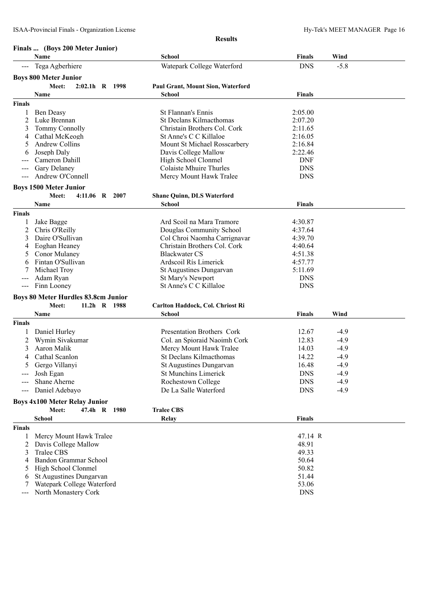|                     | Finals  (Boys 200 Meter Junior)                      |                                          |                |        |
|---------------------|------------------------------------------------------|------------------------------------------|----------------|--------|
|                     | Name                                                 | School                                   | <b>Finals</b>  | Wind   |
| $\qquad \qquad - -$ | Tega Agberhiere                                      | Watepark College Waterford               | <b>DNS</b>     | $-5.8$ |
|                     | <b>Boys 800 Meter Junior</b>                         |                                          |                |        |
|                     | 2:02.1h R 1998<br>Meet:                              | <b>Paul Grant, Mount Sion, Waterford</b> |                |        |
|                     | Name                                                 | School                                   | <b>Finals</b>  |        |
| <b>Finals</b>       |                                                      |                                          |                |        |
| 1                   | <b>Ben Deasy</b>                                     | St Flannan's Ennis                       | 2:05.00        |        |
| 2                   | Luke Brennan                                         | <b>St Declans Kilmacthomas</b>           | 2:07.20        |        |
| 3                   | <b>Tommy Connolly</b>                                | Christain Brothers Col. Cork             | 2:11.65        |        |
| 4                   | Cathal McKeogh                                       | St Anne's C C Killaloe                   | 2:16.05        |        |
| 5                   | <b>Andrew Collins</b>                                | Mount St Michael Rosscarbery             | 2:16.84        |        |
| 6                   | Joseph Daly                                          | Davis College Mallow                     | 2:22.46        |        |
|                     | Cameron Dahill                                       | High School Clonmel                      | <b>DNF</b>     |        |
|                     | Gary Delaney                                         | Colaiste Mhuire Thurles                  | <b>DNS</b>     |        |
| $---$               | Andrew O'Connell                                     | Mercy Mount Hawk Tralee                  | <b>DNS</b>     |        |
|                     | <b>Boys 1500 Meter Junior</b>                        |                                          |                |        |
|                     | Meet:<br>4:11.06 R 2007                              | <b>Shane Quinn, DLS Waterford</b>        |                |        |
|                     | Name                                                 | <b>School</b>                            | <b>Finals</b>  |        |
| <b>Finals</b>       |                                                      |                                          |                |        |
| 1                   | Jake Bagge                                           | Ard Scoil na Mara Tramore                | 4:30.87        |        |
| 2                   | Chris O'Reilly                                       | Douglas Community School                 | 4:37.64        |        |
| 3                   | Daire O'Sullivan                                     | Col Chroi Naomha Carrignavar             | 4:39.70        |        |
| 4                   | Eoghan Heaney                                        | Christain Brothers Col. Cork             | 4:40.64        |        |
| 5                   | Conor Mulaney                                        | <b>Blackwater CS</b>                     | 4:51.38        |        |
| 6                   | Fintan O'Sullivan                                    | Ardscoil Rís Limerick                    | 4:57.77        |        |
|                     | Michael Troy                                         | St Augustines Dungarvan                  | 5:11.69        |        |
|                     | Adam Ryan                                            | St Mary's Newport                        | <b>DNS</b>     |        |
| $\qquad \qquad - -$ | Finn Looney                                          | St Anne's C C Killaloe                   | <b>DNS</b>     |        |
|                     | <b>Boys 80 Meter Hurdles 83.8cm Junior</b>           |                                          |                |        |
|                     | Meet:<br>11.2h R 1988                                | Carlton Haddock, Col. Chriost Ri         |                |        |
|                     | Name                                                 | <b>School</b>                            | <b>Finals</b>  | Wind   |
| <b>Finals</b>       |                                                      |                                          |                |        |
| 1                   | Daniel Hurley                                        | Presentation Brothers Cork               | 12.67          | $-4.9$ |
| 2                   | Wymin Sivakumar                                      | Col. an Spioraid Naoimh Cork             | 12.83          | $-4.9$ |
| 3                   | Aaron Malik                                          | Mercy Mount Hawk Tralee                  | 14.03          | $-4.9$ |
| 4                   | Cathal Scanlon                                       | St Declans Kilmacthomas                  | 14.22          | $-4.9$ |
| 5                   | Gergo Villanyi                                       | <b>St Augustines Dungarvan</b>           | 16.48          | $-4.9$ |
|                     | Josh Egan                                            | <b>St Munchins Limerick</b>              | <b>DNS</b>     | $-4.9$ |
|                     | Shane Aherne                                         | Rochestown College                       | <b>DNS</b>     | $-4.9$ |
|                     | Daniel Adebayo                                       | De La Salle Waterford                    | <b>DNS</b>     | $-4.9$ |
|                     |                                                      |                                          |                |        |
|                     | <b>Boys 4x100 Meter Relay Junior</b><br>47.4h R 1980 |                                          |                |        |
|                     | Meet:                                                | <b>Tralee CBS</b>                        |                |        |
|                     | School                                               | Relay                                    | <b>Finals</b>  |        |
| <b>Finals</b>       |                                                      |                                          |                |        |
|                     | Mercy Mount Hawk Tralee                              |                                          | 47.14 R        |        |
| 2                   | Davis College Mallow                                 |                                          | 48.91          |        |
| 3                   | Tralee CBS<br>Bandon Grammar School                  |                                          | 49.33<br>50.64 |        |
| 4                   | High School Clonmel                                  |                                          | 50.82          |        |
| 5                   | St Augustines Dungarvan                              |                                          | 51.44          |        |
| 6<br>7              | Watepark College Waterford                           |                                          | 53.06          |        |
| ---                 | North Monastery Cork                                 |                                          | <b>DNS</b>     |        |
|                     |                                                      |                                          |                |        |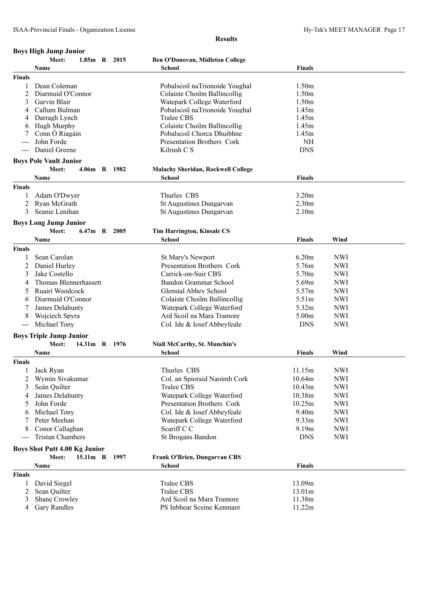|  | Boys High Jump Junior |
|--|-----------------------|
|  |                       |

|               | 1.85m R 2015<br>Meet:                | <b>Ben O'Donovan, Midleton College</b>    |                   |            |
|---------------|--------------------------------------|-------------------------------------------|-------------------|------------|
|               | Name                                 | School                                    | <b>Finals</b>     |            |
| <b>Finals</b> |                                      |                                           |                   |            |
| 1             | Dean Coleman                         | Pobalscoil naTrionoide Youghal            | 1.50m             |            |
| 2             | Diarmuid O'Connor                    | Colaiste Choilm Ballincollig              | 1.50m             |            |
| 3             | Garvin Blair                         | Watepark College Waterford                | 1.50m             |            |
| 4             | Callum Bulman                        | Pobalscoil naTrionoide Youghal            | 1.45m             |            |
| 4             | Darragh Lynch                        | Tralee CBS                                | 1.45m             |            |
| 6             | <b>Hugh Murphy</b>                   | Colaiste Choilm Ballincollig              | 1.45m             |            |
|               | Conn Ó Riagáin                       | Pobalscoil Chorca Dhuibhne                | 1.45m             |            |
| ---           | John Forde                           | Presentation Brothers Cork                | <b>NH</b>         |            |
|               | Daniel Greene                        | Kilrush C S                               | <b>DNS</b>        |            |
|               | <b>Boys Pole Vault Junior</b>        |                                           |                   |            |
|               | Meet:<br>4.06m R 1982                | <b>Malachy Sheridan, Rockwell College</b> |                   |            |
|               | Name                                 | <b>School</b>                             | Finals            |            |
| <b>Finals</b> |                                      |                                           |                   |            |
| 1             | Adam O'Dwyer                         | Thurles CBS                               | 3.20m             |            |
| 2             | Ryan McGrath                         | St Augustines Dungarvan                   | 2.30m             |            |
| 3             | Seanie Lenihan                       | St Augustines Dungarvan                   | 2.10 <sub>m</sub> |            |
|               | <b>Boys Long Jump Junior</b>         |                                           |                   |            |
|               | Meet:<br>6.47m R 2005                | Tim Harrington, Kinsale CS                |                   |            |
|               | Name                                 | School                                    | <b>Finals</b>     | Wind       |
| <b>Finals</b> |                                      |                                           |                   |            |
|               |                                      |                                           |                   |            |
| 1             | Sean Carolan                         | St Mary's Newport                         | 6.20m             | <b>NWI</b> |
| 2             | Daniel Hurley                        | Presentation Brothers Cork                | 5.76m             | <b>NWI</b> |
| 3             | Jake Costello                        | Carrick-on-Suir CBS                       | 5.70m             | <b>NWI</b> |
| 4             | Thomas Blennerhassett                | Bandon Grammar School                     | 5.69m             | <b>NWI</b> |
| 5             | Ruairí Woodcock                      | <b>Glenstal Abbey School</b>              | 5.57m             | <b>NWI</b> |
| 6             | Diarmuid O'Connor                    | Colaiste Choilm Ballincollig              | 5.51m             | <b>NWI</b> |
| 7             | James Delahunty                      | Watepark College Waterford                | 5.32m             | <b>NWI</b> |
| 8             | Wojciech Spyra                       | Ard Scoil na Mara Tramore                 | 5.00m             | <b>NWI</b> |
| $--$          | Michael Tony                         | Col. Ide & Iosef Abbeyfeale               | <b>DNS</b>        | <b>NWI</b> |
|               | <b>Boys Triple Jump Junior</b>       |                                           |                   |            |
|               | Meet:<br>14.31m R 1976               | Niall McCarthy, St. Munchin's             |                   |            |
|               | Name                                 | School                                    | <b>Finals</b>     | Wind       |
| <b>Finals</b> |                                      |                                           |                   |            |
|               | Jack Ryan                            | Thurles CBS                               | 11.15m            | <b>NWI</b> |
|               | 2 Wymin Sivakumar                    | Col. an Spioraid Naoimh Cork              | 10.64m            | <b>NWI</b> |
| 3             | Seán Quilter                         | Tralee CBS                                | 10.43m            | <b>NWI</b> |
| 4             | James Delahunty                      | Watepark College Waterford                | 10.38m            | <b>NWI</b> |
| 5             | John Forde                           | Presentation Brothers Cork                | 10.25m            | <b>NWI</b> |
| 6             | Michael Tony                         | Col. Ide & Iosef Abbeyfeale               | 9.40m             | <b>NWI</b> |
|               | Peter Meehan                         | Watepark College Waterford                | 9.33m             | <b>NWI</b> |
| 8             | Conor Callaghan                      | Scariff C C                               | 9.19m             | <b>NWI</b> |
| $---$         | <b>Tristan Chambers</b>              | St Brogans Bandon                         | <b>DNS</b>        | <b>NWI</b> |
|               | <b>Boys Shot Putt 4.00 Kg Junior</b> |                                           |                   |            |
|               | Meet:<br>15.11m R 1997               | Frank O'Brien, Dungarvan CBS              |                   |            |
|               | Name                                 | <b>School</b>                             | <b>Finals</b>     |            |
|               |                                      |                                           |                   |            |
| <b>Finals</b> |                                      |                                           |                   |            |
| 1             | David Siegel                         | Tralee CBS                                | 13.09m            |            |
| 2<br>3        | Sean Quilter<br>Shane Crowley        | Tralee CBS<br>Ard Scoil na Mara Tramore   | 13.01m            |            |
| 4             | <b>Gary Randles</b>                  | PS Inbhear Sceine Kenmare                 | 11.38m<br>11.22m  |            |
|               |                                      |                                           |                   |            |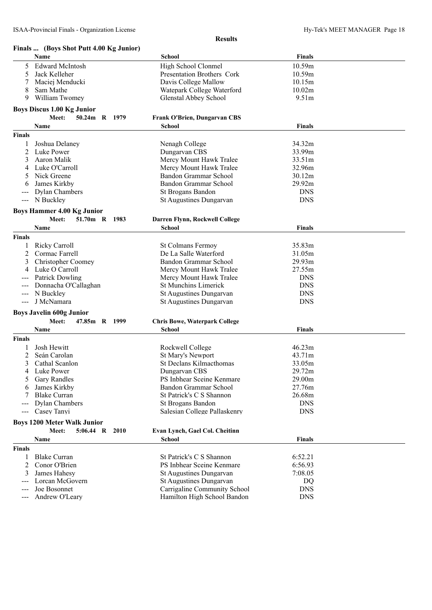|                   | Finals  (Boys Shot Putt 4.00 Kg Junior) |                                      |               |  |
|-------------------|-----------------------------------------|--------------------------------------|---------------|--|
|                   | Name                                    | School                               | <b>Finals</b> |  |
| 5                 | <b>Edward McIntosh</b>                  | High School Clonmel                  | 10.59m        |  |
| 5                 | Jack Kelleher                           | Presentation Brothers Cork           | 10.59m        |  |
|                   | Maciej Menducki                         | Davis College Mallow                 | 10.15m        |  |
| 8                 | Sam Mathe                               | Watepark College Waterford           | 10.02m        |  |
| 9                 | William Twomey                          | Glenstal Abbey School                | 9.51m         |  |
|                   | <b>Boys Discus 1.00 Kg Junior</b>       |                                      |               |  |
|                   | Meet:<br>50.24m R 1979                  | <b>Frank O'Brien, Dungarvan CBS</b>  |               |  |
|                   | Name                                    | School                               | <b>Finals</b> |  |
| <b>Finals</b>     |                                         |                                      |               |  |
|                   | Joshua Delaney                          | Nenagh College                       | 34.32m        |  |
| 2                 | Luke Power                              | Dungarvan CBS                        | 33.99m        |  |
| 3                 | Aaron Malik                             | Mercy Mount Hawk Tralee              | 33.51m        |  |
| 4                 | Luke O'Carroll                          | Mercy Mount Hawk Tralee              | 32.96m        |  |
| 5                 | Nick Greene                             | Bandon Grammar School                | 30.12m        |  |
|                   | James Kirkby                            | Bandon Grammar School                | 29.92m        |  |
|                   | Dylan Chambers                          | St Brogans Bandon                    | <b>DNS</b>    |  |
| $\frac{1}{2}$     | N Buckley                               | St Augustines Dungarvan              | <b>DNS</b>    |  |
|                   | <b>Boys Hammer 4.00 Kg Junior</b>       |                                      |               |  |
|                   | 51.70m R 1983<br>Meet:                  | Darren Flynn, Rockwell College       |               |  |
|                   | Name                                    | School                               | <b>Finals</b> |  |
| <b>Finals</b>     |                                         |                                      |               |  |
| 1                 | <b>Ricky Carroll</b>                    | St Colmans Fermoy                    | 35.83m        |  |
| 2                 | Cormac Farrell                          | De La Salle Waterford                | 31.05m        |  |
| 3                 | <b>Christopher Coomey</b>               | Bandon Grammar School                | 29.93m        |  |
| 4                 | Luke O Carroll                          | Mercy Mount Hawk Tralee              | 27.55m        |  |
|                   | <b>Patrick Dowling</b>                  | Mercy Mount Hawk Tralee              | <b>DNS</b>    |  |
|                   | Donnacha O'Callaghan                    | <b>St Munchins Limerick</b>          | <b>DNS</b>    |  |
| ---               | N Buckley                               | St Augustines Dungarvan              | <b>DNS</b>    |  |
| $\qquad \qquad -$ | J McNamara                              | St Augustines Dungarvan              | <b>DNS</b>    |  |
|                   | <b>Boys Javelin 600g Junior</b>         |                                      |               |  |
|                   | Meet:<br>47.85m R 1999                  | <b>Chris Bowe, Waterpark College</b> |               |  |
|                   | Name                                    | School                               | <b>Finals</b> |  |
| <b>Finals</b>     |                                         |                                      |               |  |
|                   | Josh Hewitt                             | Rockwell College                     | 46.23m        |  |
| 2                 | Seán Carolan                            | St Mary's Newport                    | 43.71m        |  |
| 3                 | Cathal Scanlon                          | St Declans Kilmacthomas              | 33.05m        |  |
| 4                 | Luke Power                              | Dungarvan CBS                        | 29.72m        |  |
| 5                 | <b>Gary Randles</b>                     | PS Inbhear Sceine Kenmare            | 29.00m        |  |
| 6                 | James Kirkby                            | Bandon Grammar School                | 27.76m        |  |
|                   | <b>Blake Curran</b>                     | St Patrick's C S Shannon             | 26.68m        |  |
|                   | <b>Dylan Chambers</b>                   | St Brogans Bandon                    | <b>DNS</b>    |  |
| ---               | Casey Tanyi                             | Salesian College Pallaskenry         | <b>DNS</b>    |  |
|                   | <b>Boys 1200 Meter Walk Junior</b>      |                                      |               |  |
|                   | Meet:<br>5:06.44 R 2010                 | Evan Lynch, Gael Col. Cheitinn       |               |  |
|                   | Name                                    | School                               | <b>Finals</b> |  |
| <b>Finals</b>     |                                         |                                      |               |  |
| 1                 | <b>Blake Curran</b>                     | St Patrick's C S Shannon             | 6:52.21       |  |
| 2                 | Conor O'Brien                           | PS Inbhear Sceine Kenmare            | 6:56.93       |  |
| 3                 | James Hahesy                            | St Augustines Dungarvan              | 7:08.05       |  |
|                   | Lorcan McGovern                         | St Augustines Dungarvan              | DQ            |  |
|                   | Joe Bosonnet                            | Carrigaline Community School         | <b>DNS</b>    |  |
|                   | Andrew O'Leary                          | Hamilton High School Bandon          | <b>DNS</b>    |  |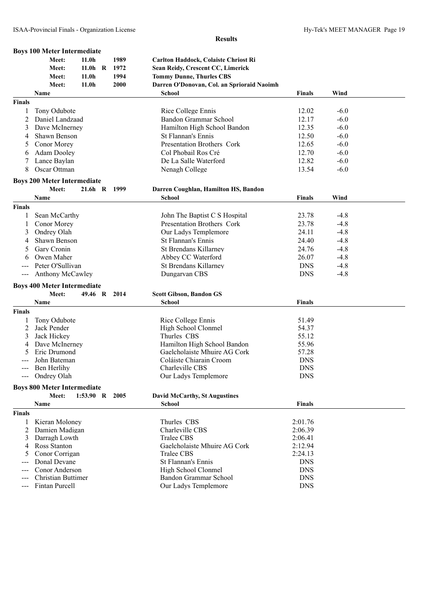|                   | <b>Boys 100 Meter Intermediate</b>          |                   |      |                                                 |               |        |  |
|-------------------|---------------------------------------------|-------------------|------|-------------------------------------------------|---------------|--------|--|
|                   | Meet:                                       | 11.0h             | 1989 | Carlton Haddock, Colaiste Chriost Ri            |               |        |  |
|                   | Meet:                                       | $11.0h$ R         | 1972 | Sean Reidy, Crescent CC, Limerick               |               |        |  |
|                   | Meet:                                       | 11.0 <sub>h</sub> | 1994 | <b>Tommy Dunne, Thurles CBS</b>                 |               |        |  |
|                   | Meet:                                       | 11.0 <sub>h</sub> | 2000 | Darren O'Donovan, Col. an Sprioraid Naoimh      |               |        |  |
|                   | Name                                        |                   |      | <b>School</b>                                   | <b>Finals</b> | Wind   |  |
| <b>Finals</b>     |                                             |                   |      |                                                 |               |        |  |
| 1                 | Tony Odubote                                |                   |      | Rice College Ennis                              | 12.02         | $-6.0$ |  |
| 2                 | Daniel Landzaad                             |                   |      | Bandon Grammar School                           | 12.17         | $-6.0$ |  |
| 3                 | Dave McInerney                              |                   |      | Hamilton High School Bandon                     | 12.35         | $-6.0$ |  |
| 4                 | Shawn Benson                                |                   |      | St Flannan's Ennis                              | 12.50         | $-6.0$ |  |
| 5                 | Conor Morey                                 |                   |      | Presentation Brothers Cork                      | 12.65         | $-6.0$ |  |
|                   | <b>Adam Dooley</b>                          |                   |      | Col Phobail Ros Cré                             | 12.70         | $-6.0$ |  |
| 6                 |                                             |                   |      |                                                 | 12.82         |        |  |
| 7                 | Lance Baylan                                |                   |      | De La Salle Waterford                           |               | $-6.0$ |  |
| 8                 | Oscar Ottman                                |                   |      | Nenagh College                                  | 13.54         | $-6.0$ |  |
|                   | <b>Boys 200 Meter Intermediate</b>          |                   |      |                                                 |               |        |  |
|                   | Meet:                                       | $21.6h$ R         | 1999 | Darren Coughlan, Hamilton HS, Bandon            |               |        |  |
|                   | Name                                        |                   |      | <b>School</b>                                   | <b>Finals</b> | Wind   |  |
| <b>Finals</b>     |                                             |                   |      |                                                 |               |        |  |
| 1                 | Sean McCarthy                               |                   |      | John The Baptist C S Hospital                   | 23.78         | $-4.8$ |  |
| 1                 | Conor Morey                                 |                   |      | Presentation Brothers Cork                      | 23.78         | $-4.8$ |  |
| 3                 | Ondrey Olah                                 |                   |      | Our Ladys Templemore                            | 24.11         | $-4.8$ |  |
| 4                 | Shawn Benson                                |                   |      | St Flannan's Ennis                              | 24.40         | $-4.8$ |  |
| 5                 | Gary Cronin                                 |                   |      | St Brendans Killarney                           | 24.76         | $-4.8$ |  |
| 6                 | Owen Maher                                  |                   |      | Abbey CC Waterford                              | 26.07         | $-4.8$ |  |
|                   | Peter O'Sullivan                            |                   |      | St Brendans Killarney                           | <b>DNS</b>    | $-4.8$ |  |
| $\qquad \qquad -$ | Anthony McCawley                            |                   |      | Dungarvan CBS                                   | <b>DNS</b>    | $-4.8$ |  |
|                   |                                             |                   |      |                                                 |               |        |  |
|                   | <b>Boys 400 Meter Intermediate</b><br>Meet: | 49.46 R           | 2014 |                                                 |               |        |  |
|                   | <b>Name</b>                                 |                   |      | <b>Scott Gibson, Bandon GS</b><br><b>School</b> | Finals        |        |  |
|                   |                                             |                   |      |                                                 |               |        |  |
| <b>Finals</b>     |                                             |                   |      |                                                 |               |        |  |
| 1                 | Tony Odubote                                |                   |      | Rice College Ennis                              | 51.49         |        |  |
| 2                 | Jack Pender                                 |                   |      | High School Clonmel                             | 54.37         |        |  |
| 3                 | Jack Hickey                                 |                   |      | Thurles CBS                                     | 55.12         |        |  |
| 4                 | Dave McInerney                              |                   |      | Hamilton High School Bandon                     | 55.96         |        |  |
| 5                 | Eric Drumond                                |                   |      | Gaelcholaiste Mhuire AG Cork                    | 57.28         |        |  |
|                   | John Bateman                                |                   |      | Coláiste Chiarain Croom                         | <b>DNS</b>    |        |  |
| ---               | Ben Herlihy                                 |                   |      | Charleville CBS                                 | <b>DNS</b>    |        |  |
|                   | Ondrey Olah                                 |                   |      | Our Ladys Templemore                            | <b>DNS</b>    |        |  |
|                   | <b>Boys 800 Meter Intermediate</b>          |                   |      |                                                 |               |        |  |
|                   | Meet:                                       | 1:53.90 R 2005    |      | <b>David McCarthy, St Augustines</b>            |               |        |  |
|                   | Name                                        |                   |      | <b>School</b>                                   | <b>Finals</b> |        |  |
| <b>Finals</b>     |                                             |                   |      |                                                 |               |        |  |
| 1                 | Kieran Moloney                              |                   |      | Thurles CBS                                     | 2:01.76       |        |  |
| 2                 | Damien Madigan                              |                   |      | Charleville CBS                                 | 2:06.39       |        |  |
| 3                 | Darragh Lowth                               |                   |      | Tralee CBS                                      | 2:06.41       |        |  |
| 4                 | Ross Stanton                                |                   |      | Gaelcholaiste Mhuire AG Cork                    | 2:12.94       |        |  |
| 5                 | Conor Corrigan                              |                   |      | Tralee CBS                                      | 2:24.13       |        |  |
|                   | Donal Devane                                |                   |      | St Flannan's Ennis                              | <b>DNS</b>    |        |  |
|                   | Conor Anderson                              |                   |      | High School Clonmel                             | <b>DNS</b>    |        |  |
|                   | <b>Christian Buttimer</b>                   |                   |      | Bandon Grammar School                           | <b>DNS</b>    |        |  |
| ---               | Fintan Purcell                              |                   |      | Our Ladys Templemore                            | <b>DNS</b>    |        |  |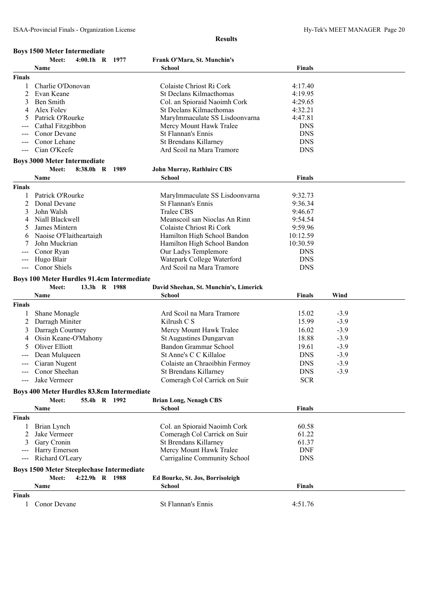### **Boys 1500 Meter Intermediate**

**Results**

|                     | Meet:                                             | 4:00.1h R 1977 |  | Frank O'Mara, St. Munchin's            |               |        |  |
|---------------------|---------------------------------------------------|----------------|--|----------------------------------------|---------------|--------|--|
|                     | Name                                              |                |  | <b>School</b>                          | <b>Finals</b> |        |  |
| <b>Finals</b>       |                                                   |                |  |                                        |               |        |  |
| 1                   | Charlie O'Donovan                                 |                |  | Colaiste Chriost Ri Cork               | 4:17.40       |        |  |
| 2                   | Evan Keane                                        |                |  | St Declans Kilmacthomas                | 4:19.95       |        |  |
| 3                   | Ben Smith                                         |                |  | Col. an Spioraid Naoimh Cork           | 4:29.65       |        |  |
| 4                   | Alex Foley                                        |                |  | St Declans Kilmacthomas                | 4:32.21       |        |  |
| 5                   | Patrick O'Rourke                                  |                |  | MaryImmaculate SS Lisdoonvarna         | 4:47.81       |        |  |
|                     | Cathal Fitzgibbon                                 |                |  | Mercy Mount Hawk Tralee                | <b>DNS</b>    |        |  |
|                     | Conor Devane                                      |                |  | St Flannan's Ennis                     | <b>DNS</b>    |        |  |
|                     | Conor Lehane                                      |                |  | St Brendans Killarney                  | <b>DNS</b>    |        |  |
|                     | Cian O'Keefe                                      |                |  | Ard Scoil na Mara Tramore              | <b>DNS</b>    |        |  |
|                     |                                                   |                |  |                                        |               |        |  |
|                     | <b>Boys 3000 Meter Intermediate</b>               |                |  |                                        |               |        |  |
|                     | Meet:                                             | 8:38.0h R 1989 |  | John Murray, Rathluirc CBS             |               |        |  |
|                     | Name                                              |                |  | School                                 | <b>Finals</b> |        |  |
| <b>Finals</b>       |                                                   |                |  |                                        |               |        |  |
|                     | Patrick O'Rourke                                  |                |  | MaryImmaculate SS Lisdoonvarna         | 9:32.73       |        |  |
| 2                   | Donal Devane                                      |                |  | St Flannan's Ennis                     | 9:36.34       |        |  |
| 3                   | John Walsh                                        |                |  | <b>Tralee CBS</b>                      | 9:46.67       |        |  |
| 4                   | Niall Blackwell                                   |                |  | Meanscoil san Nioclas An Rinn          | 9:54.54       |        |  |
| 5                   | James Mintern                                     |                |  | Colaiste Chriost Ri Cork               | 9:59.96       |        |  |
| 6                   | Naoise O'Flaitheartaigh                           |                |  | Hamilton High School Bandon            | 10:12.59      |        |  |
|                     | John Muckrian                                     |                |  | Hamilton High School Bandon            | 10:30.59      |        |  |
|                     | Conor Ryan                                        |                |  | Our Ladys Templemore                   | <b>DNS</b>    |        |  |
| $---$               | Hugo Blair                                        |                |  | Watepark College Waterford             | <b>DNS</b>    |        |  |
| $\qquad \qquad - -$ | Conor Shiels                                      |                |  | Ard Scoil na Mara Tramore              | <b>DNS</b>    |        |  |
|                     |                                                   |                |  |                                        |               |        |  |
|                     | <b>Boys 100 Meter Hurdles 91.4cm Intermediate</b> |                |  |                                        |               |        |  |
|                     | Meet:                                             | 13.3h R 1988   |  | David Sheehan, St. Munchin's, Limerick |               |        |  |
|                     | Name                                              |                |  | School                                 | <b>Finals</b> | Wind   |  |
| <b>Finals</b>       |                                                   |                |  |                                        |               |        |  |
|                     | Shane Monagle                                     |                |  | Ard Scoil na Mara Tramore              | 15.02         | $-3.9$ |  |
| 2                   | Darragh Miniter                                   |                |  | Kilrush C S                            | 15.99         | $-3.9$ |  |
| 3                   | Darragh Courtney                                  |                |  | Mercy Mount Hawk Tralee                | 16.02         | $-3.9$ |  |
| 4                   | Oisin Keane-O'Mahony                              |                |  | St Augustines Dungarvan                | 18.88         | $-3.9$ |  |
| 5                   | Oliver Elliott                                    |                |  | Bandon Grammar School                  | 19.61         | $-3.9$ |  |
|                     | Dean Mulqueen                                     |                |  | St Anne's C C Killaloe                 | <b>DNS</b>    | $-3.9$ |  |
|                     | Ciaran Nugent                                     |                |  | Colaiste an Chraoibhin Fermoy          | <b>DNS</b>    | $-3.9$ |  |
|                     | Conor Sheehan                                     |                |  | St Brendans Killarney                  | <b>DNS</b>    | $-3.9$ |  |
| $\qquad \qquad - -$ | Jake Vermeer                                      |                |  | Comeragh Col Carrick on Suir           | <b>SCR</b>    |        |  |
|                     |                                                   |                |  |                                        |               |        |  |
|                     | Boys 400 Meter Hurdles 83.8cm Intermediate        |                |  |                                        |               |        |  |
|                     | Meet:                                             | 55.4h R 1992   |  | <b>Brian Long, Nenagh CBS</b>          |               |        |  |
|                     | Name                                              |                |  | School                                 | <b>Finals</b> |        |  |
| <b>Finals</b>       |                                                   |                |  |                                        |               |        |  |
| 1                   | Brian Lynch                                       |                |  | Col. an Spioraid Naoimh Cork           | 60.58         |        |  |
| 2                   | Jake Vermeer                                      |                |  | Comeragh Col Carrick on Suir           | 61.22         |        |  |
| 3                   | Gary Cronin                                       |                |  | <b>St Brendans Killarney</b>           | 61.37         |        |  |
| $---$               | Harry Emerson                                     |                |  | Mercy Mount Hawk Tralee                | <b>DNF</b>    |        |  |
|                     | Richard O'Leary                                   |                |  | Carrigaline Community School           | <b>DNS</b>    |        |  |
|                     |                                                   |                |  |                                        |               |        |  |
|                     | <b>Boys 1500 Meter Steeplechase Intermediate</b>  |                |  |                                        |               |        |  |
|                     | Meet:                                             | 4:22.9h R 1988 |  | Ed Bourke, St. Jos, Borrisoleigh       |               |        |  |
|                     | Name                                              |                |  | School                                 | <b>Finals</b> |        |  |
| <b>Finals</b>       |                                                   |                |  |                                        |               |        |  |

1 Conor Devane St Flannan's Ennis 4:51.76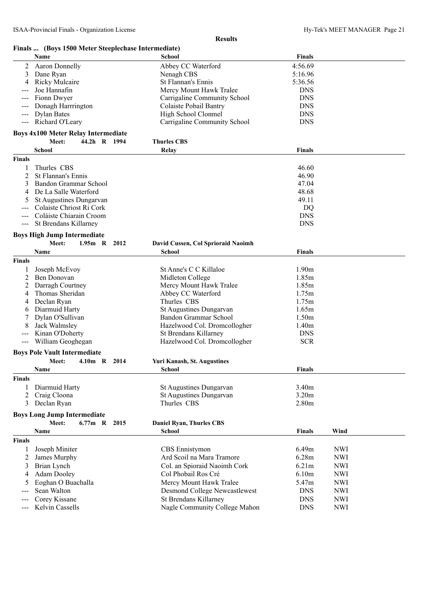| Finals  (Boys 1500 Meter Steeplechase Intermediate)               |                                      |                    |            |
|-------------------------------------------------------------------|--------------------------------------|--------------------|------------|
| Name                                                              | School                               | <b>Finals</b>      |            |
| <b>Aaron Donnelly</b><br>2                                        | Abbey CC Waterford                   | 4:56.69            |            |
| 3<br>Dane Ryan                                                    | Nenagh CBS                           | 5:16.96            |            |
| 4<br><b>Ricky Mulcaire</b>                                        | <b>St Flannan's Ennis</b>            | 5:36.56            |            |
| Joe Hannafin<br>---                                               | Mercy Mount Hawk Tralee              | <b>DNS</b>         |            |
| Fionn Dwyer<br>---                                                | Carrigaline Community School         | <b>DNS</b>         |            |
| Donagh Harrrington<br>---                                         | Colaiste Pobail Bantry               | <b>DNS</b>         |            |
| <b>Dylan Bates</b><br>---                                         | High School Clonmel                  | <b>DNS</b>         |            |
| Richard O'Leary                                                   | Carrigaline Community School         | <b>DNS</b>         |            |
| <b>Boys 4x100 Meter Relay Intermediate</b>                        |                                      |                    |            |
| 44.2h R 1994<br>Meet:                                             | <b>Thurles CBS</b>                   |                    |            |
| School                                                            | Relay                                | <b>Finals</b>      |            |
| <b>Finals</b>                                                     |                                      |                    |            |
| Thurles CBS<br>1                                                  |                                      | 46.60              |            |
| 2<br>St Flannan's Ennis                                           |                                      | 46.90              |            |
| 3<br>Bandon Grammar School                                        |                                      | 47.04              |            |
| De La Salle Waterford<br>4                                        |                                      | 48.68              |            |
| St Augustines Dungarvan<br>5<br>Colaiste Chriost Ri Cork          |                                      | 49.11<br><b>DQ</b> |            |
| ---<br>Coláiste Chiarain Croom                                    |                                      | <b>DNS</b>         |            |
| St Brendans Killarney<br>$\hspace{0.05cm} \ldots \hspace{0.05cm}$ |                                      | <b>DNS</b>         |            |
|                                                                   |                                      |                    |            |
| <b>Boys High Jump Intermediate</b>                                |                                      |                    |            |
| Meet:<br>1.95m R 2012                                             | David Cussen, Col Sprioraid Naoimh   |                    |            |
| Name                                                              | School                               | <b>Finals</b>      |            |
| <b>Finals</b>                                                     |                                      |                    |            |
| Joseph McEvoy<br>1                                                | St Anne's C C Killaloe               | 1.90m              |            |
| 2<br>Ben Donovan                                                  | Midleton College                     | 1.85m              |            |
| 2<br>Darragh Courtney                                             | Mercy Mount Hawk Tralee              | 1.85m              |            |
| Thomas Sheridan<br>4                                              | Abbey CC Waterford                   | 1.75m              |            |
| Declan Ryan<br>4                                                  | Thurles CBS                          | 1.75m              |            |
| Diarmuid Harty<br>6                                               | <b>St Augustines Dungarvan</b>       | 1.65m              |            |
| Dylan O'Sullivan<br>7                                             | Bandon Grammar School                | 1.50m              |            |
| 8<br>Jack Walmsley                                                | Hazelwood Col. Dromcollogher         | 1.40m              |            |
| Kinan O'Doherty                                                   | <b>St Brendans Killarney</b>         | <b>DNS</b>         |            |
| William Geoghegan<br>$\sim$ $\sim$                                | Hazelwood Col. Dromcollogher         | <b>SCR</b>         |            |
| <b>Boys Pole Vault Intermediate</b>                               |                                      |                    |            |
| Meet:<br>4.10m R 2014                                             | <b>Yuri Kanash, St. Augustines</b>   |                    |            |
| Name                                                              | <b>School</b>                        | <b>Finals</b>      |            |
| <b>Finals</b>                                                     |                                      |                    |            |
| Diarmuid Harty<br>1                                               | St Augustines Dungarvan              | 3.40m              |            |
| 2<br>Craig Cloona                                                 | St Augustines Dungarvan              | 3.20m              |            |
| 3<br>Declan Ryan                                                  | Thurles CBS                          | 2.80m              |            |
| <b>Boys Long Jump Intermediate</b>                                |                                      |                    |            |
| 6.77m R 2015<br>Meet:                                             | <b>Daniel Ryan, Thurles CBS</b>      |                    |            |
| Name                                                              | <b>School</b>                        | <b>Finals</b>      | Wind       |
| <b>Finals</b>                                                     |                                      |                    |            |
| Joseph Miniter<br>1                                               | CBS Ennistymon                       | 6.49m              | <b>NWI</b> |
| James Murphy<br>2                                                 | Ard Scoil na Mara Tramore            | 6.28m              | <b>NWI</b> |
| 3<br>Brian Lynch                                                  | Col. an Spioraid Naoimh Cork         | 6.21m              | <b>NWI</b> |
| Adam Dooley<br>4                                                  | Col Phobail Ros Cré                  | 6.10m              | <b>NWI</b> |
| Eoghan O Buachalla<br>5                                           | Mercy Mount Hawk Tralee              | 5.47m              | <b>NWI</b> |
| Sean Walton<br>---                                                | <b>Desmond College Newcastlewest</b> | <b>DNS</b>         | <b>NWI</b> |
| Corey Kissane<br>---                                              | St Brendans Killarney                | <b>DNS</b>         | <b>NWI</b> |
| Kelvin Cassells<br>$\sim$ $\sim$                                  | Nagle Community College Mahon        | <b>DNS</b>         | <b>NWI</b> |
|                                                                   |                                      |                    |            |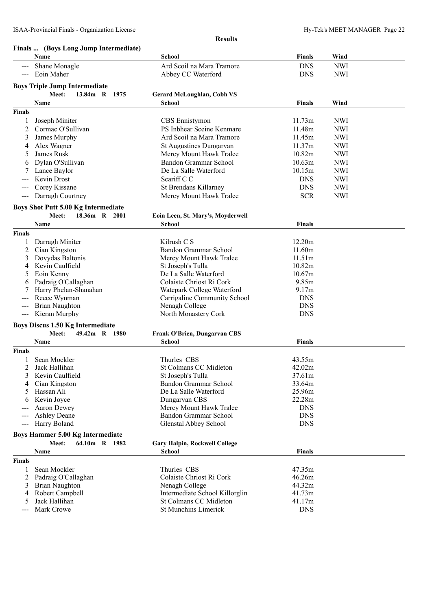|                                          | Finals  (Boys Long Jump Intermediate)      |                                                    |                  |            |
|------------------------------------------|--------------------------------------------|----------------------------------------------------|------------------|------------|
|                                          | Name                                       | <b>School</b>                                      | Finals           | Wind       |
| $---$                                    | Shane Monagle                              | Ard Scoil na Mara Tramore                          | <b>DNS</b>       | <b>NWI</b> |
| $\sim$ $\sim$                            | Eoin Maher                                 | Abbey CC Waterford                                 | <b>DNS</b>       | <b>NWI</b> |
|                                          | <b>Boys Triple Jump Intermediate</b>       |                                                    |                  |            |
|                                          | 13.84m R 1975<br>Meet:                     | <b>Gerard McLoughlan, Cobh VS</b>                  |                  |            |
|                                          | Name                                       | School                                             | <b>Finals</b>    | Wind       |
| <b>Finals</b>                            |                                            |                                                    |                  |            |
|                                          | Joseph Miniter                             | <b>CBS</b> Ennistymon                              | 11.73m           | <b>NWI</b> |
| 1<br>2                                   | Cormac O'Sullivan                          | PS Inbhear Sceine Kenmare                          | 11.48m           | <b>NWI</b> |
| 3                                        | James Murphy                               | Ard Scoil na Mara Tramore                          | 11.45m           | <b>NWI</b> |
|                                          |                                            |                                                    |                  | <b>NWI</b> |
| 4<br>5                                   | Alex Wagner<br>James Rusk                  | St Augustines Dungarvan<br>Mercy Mount Hawk Tralee | 11.37m<br>10.82m | <b>NWI</b> |
|                                          |                                            | Bandon Grammar School                              |                  |            |
| 6                                        | Dylan O'Sullivan                           |                                                    | 10.63m           | <b>NWI</b> |
|                                          | Lance Baylor                               | De La Salle Waterford                              | 10.15m           | <b>NWI</b> |
|                                          | Kevin Drost<br>Corey Kissane               | Scariff C C<br>St Brendans Killarney               | <b>DNS</b>       | <b>NWI</b> |
|                                          |                                            |                                                    | <b>DNS</b>       | <b>NWI</b> |
| $\hspace{0.05cm} \ldots \hspace{0.05cm}$ | Darragh Courtney                           | Mercy Mount Hawk Tralee                            | <b>SCR</b>       | <b>NWI</b> |
|                                          | <b>Boys Shot Putt 5.00 Kg Intermediate</b> |                                                    |                  |            |
|                                          | Meet:<br>18.36m R 2001                     | Eoin Leen, St. Mary's, Moyderwell                  |                  |            |
|                                          | <b>Name</b>                                | <b>School</b>                                      | Finals           |            |
| <b>Finals</b>                            |                                            |                                                    |                  |            |
| 1                                        | Darragh Miniter                            | Kilrush $C S$                                      | 12.20m           |            |
| 2                                        | Cian Kingston                              | Bandon Grammar School                              | 11.60m           |            |
| 3                                        | Dovydas Baltonis                           | Mercy Mount Hawk Tralee                            | 11.51m           |            |
| 4                                        | Kevin Caulfield                            | St Joseph's Tulla                                  | 10.82m           |            |
| 5                                        | Eoin Kenny                                 | De La Salle Waterford                              | 10.67m           |            |
| 6                                        | Padraig O'Callaghan                        | Colaiste Chriost Ri Cork                           | 9.85m            |            |
|                                          | Harry Phelan-Shanahan                      | Watepark College Waterford                         | 9.17m            |            |
|                                          | Reece Wynman                               | Carrigaline Community School                       | <b>DNS</b>       |            |
| $---$                                    | <b>Brian Naughton</b>                      | Nenagh College                                     | <b>DNS</b>       |            |
| $---$                                    | Kieran Murphy                              | North Monastery Cork                               | <b>DNS</b>       |            |
|                                          | <b>Boys Discus 1.50 Kg Intermediate</b>    |                                                    |                  |            |
|                                          | Meet:<br>49.42m R 1980                     | <b>Frank O'Brien, Dungarvan CBS</b>                |                  |            |
|                                          | Name                                       | <b>School</b>                                      | <b>Finals</b>    |            |
| <b>Finals</b>                            |                                            |                                                    |                  |            |
|                                          | Sean Mockler                               | Thurles CBS                                        | 43.55m           |            |
| 2                                        | Jack Hallihan                              | St Colmans CC Midleton                             | 42.02m           |            |
| 3                                        | Kevin Caulfield                            | St Joseph's Tulla                                  | 37.61m           |            |
| 4                                        | Cian Kingston                              | <b>Bandon Grammar School</b>                       | 33.64m           |            |
| 5                                        | Hassan Ali                                 | De La Salle Waterford                              | 25.96m           |            |
| 6                                        | Kevin Joyce                                | Dungarvan CBS                                      | 22.28m           |            |
|                                          | Aaron Dewey                                | Mercy Mount Hawk Tralee                            | <b>DNS</b>       |            |
|                                          | <b>Ashley Deane</b>                        | <b>Bandon Grammar School</b>                       | <b>DNS</b>       |            |
| $---$                                    | Harry Boland                               | Glenstal Abbey School                              | <b>DNS</b>       |            |
|                                          | Boys Hammer 5.00 Kg Intermediate           |                                                    |                  |            |
|                                          | 64.10m R 1982<br>Meet:                     | <b>Gary Halpin, Rockwell College</b>               |                  |            |
|                                          | Name                                       | <b>School</b>                                      | <b>Finals</b>    |            |
| <b>Finals</b>                            |                                            |                                                    |                  |            |
| 1                                        | Sean Mockler                               | Thurles CBS                                        | 47.35m           |            |
| 2                                        | Padraig O'Callaghan                        | Colaiste Chriost Ri Cork                           | 46.26m           |            |
| 3                                        | <b>Brian Naughton</b>                      | Nenagh College                                     | 44.32m           |            |
| 4                                        | Robert Campbell                            | Intermediate School Killorglin                     | 41.73m           |            |
| 5                                        | Jack Hallihan                              | St Colmans CC Midleton                             | 41.17m           |            |
| $---$                                    | Mark Crowe                                 | <b>St Munchins Limerick</b>                        | <b>DNS</b>       |            |
|                                          |                                            |                                                    |                  |            |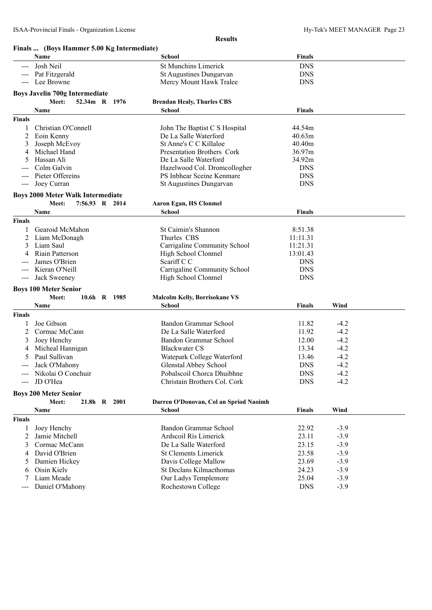|                                        | Finals  (Boys Hammer 5.00 Kg Intermediate) |                                        |               |        |  |
|----------------------------------------|--------------------------------------------|----------------------------------------|---------------|--------|--|
|                                        | Name                                       | School                                 | <b>Finals</b> |        |  |
| ---                                    | Josh Neil                                  | <b>St Munchins Limerick</b>            | <b>DNS</b>    |        |  |
|                                        | Pat Fitzgerald                             | St Augustines Dungarvan                | <b>DNS</b>    |        |  |
| $\scriptstyle\cdots\scriptstyle\cdots$ | Lee Browne                                 | Mercy Mount Hawk Tralee                | <b>DNS</b>    |        |  |
|                                        | <b>Boys Javelin 700g Intermediate</b>      |                                        |               |        |  |
|                                        | Meet:<br>52.34m R 1976                     | <b>Brendan Healy, Thurles CBS</b>      |               |        |  |
|                                        | Name                                       | <b>School</b>                          | <b>Finals</b> |        |  |
| <b>Finals</b>                          |                                            |                                        |               |        |  |
|                                        | Christian O'Connell                        | John The Baptist C S Hospital          | 44.54m        |        |  |
| 2                                      | Eoin Kenny                                 | De La Salle Waterford                  | 40.63m        |        |  |
| 3                                      | Joseph McEvoy                              | St Anne's C C Killaloe                 | 40.40m        |        |  |
| 4                                      | Michael Hand                               | Presentation Brothers Cork             | 36.97m        |        |  |
| 5                                      | Hassan Ali                                 | De La Salle Waterford                  | 34.92m        |        |  |
|                                        | Colm Galvin                                | Hazelwood Col. Dromcollogher           | <b>DNS</b>    |        |  |
|                                        | Pieter Offereins                           | PS Inbhear Sceine Kenmare              | <b>DNS</b>    |        |  |
| ---                                    | Joey Curran                                | St Augustines Dungarvan                | <b>DNS</b>    |        |  |
|                                        | <b>Boys 2000 Meter Walk Intermediate</b>   |                                        |               |        |  |
|                                        | Meet:<br>7:56.93 R 2014                    | <b>Aaron Egan, HS Clonmel</b>          |               |        |  |
|                                        | Name                                       | <b>School</b>                          | <b>Finals</b> |        |  |
| <b>Finals</b>                          |                                            |                                        |               |        |  |
| 1                                      | Gearoid McMahon                            | St Caimin's Shannon                    | 8:51.38       |        |  |
| 2                                      | Liam McDonagh                              | Thurles CBS                            | 11:11.31      |        |  |
| 3                                      | Liam Saul                                  | Carrigaline Community School           | 11:21.31      |        |  |
| 4                                      | Riain Patterson                            | High School Clonmel                    | 13:01.43      |        |  |
|                                        | James O'Brien                              | Scariff C C                            | <b>DNS</b>    |        |  |
|                                        | Kieran O'Neill                             | Carrigaline Community School           | <b>DNS</b>    |        |  |
| ---                                    | Jack Sweeney                               | High School Clonmel                    | <b>DNS</b>    |        |  |
|                                        | <b>Boys 100 Meter Senior</b>               |                                        |               |        |  |
|                                        | Meet:<br>10.6h R 1985                      | <b>Malcolm Kelly, Borrisokane VS</b>   |               |        |  |
|                                        | Name                                       | <b>School</b>                          | <b>Finals</b> | Wind   |  |
| <b>Finals</b>                          |                                            |                                        |               |        |  |
|                                        | Joe Gibson                                 | Bandon Grammar School                  | 11.82         | $-4.2$ |  |
| 2                                      | Cormac McCann                              | De La Salle Waterford                  | 11.92         | $-4.2$ |  |
|                                        |                                            | Bandon Grammar School                  | 12.00         | $-4.2$ |  |
| 3                                      | Joey Henchy                                |                                        |               |        |  |
| 4                                      | Micheal Hannigan                           | <b>Blackwater CS</b>                   | 13.34         | $-4.2$ |  |
| 5                                      | Paul Sullivan                              | Watepark College Waterford             | 13.46         | $-4.2$ |  |
| ---                                    | Jack O'Mahony                              | Glenstal Abbey School                  | <b>DNS</b>    | $-4.2$ |  |
|                                        | Nikolai O Conchuir                         | Pobalscoil Chorca Dhuibhne             | <b>DNS</b>    | $-4.2$ |  |
|                                        | JD O'Hea                                   | Christain Brothers Col. Cork           | <b>DNS</b>    | $-4.2$ |  |
|                                        | <b>Boys 200 Meter Senior</b>               |                                        |               |        |  |
|                                        | Meet:<br>21.8h R 2001                      | Darren O'Donovan, Col an Spriod Naoimh |               |        |  |
|                                        | Name                                       | <b>School</b>                          | <b>Finals</b> | Wind   |  |
| <b>Finals</b>                          |                                            |                                        |               |        |  |
| 1                                      | Joey Henchy                                | Bandon Grammar School                  | 22.92         | $-3.9$ |  |
| 2                                      | Jamie Mitchell                             | Ardscoil Rís Limerick                  | 23.11         | $-3.9$ |  |
| 3                                      | Cormac McCann                              | De La Salle Waterford                  | 23.15         | $-3.9$ |  |
| 4                                      | David O'Brien                              | <b>St Clements Limerick</b>            | 23.58         | $-3.9$ |  |
| 5                                      | Damien Hickey                              | Davis College Mallow                   | 23.69         | $-3.9$ |  |
| 6                                      | Oisin Kiely                                | St Declans Kilmacthomas                | 24.23         | $-3.9$ |  |
| 7                                      | Liam Meade                                 | Our Ladys Templemore                   | 25.04         | $-3.9$ |  |
| ---                                    | Daniel O'Mahony                            | Rochestown College                     | <b>DNS</b>    | $-3.9$ |  |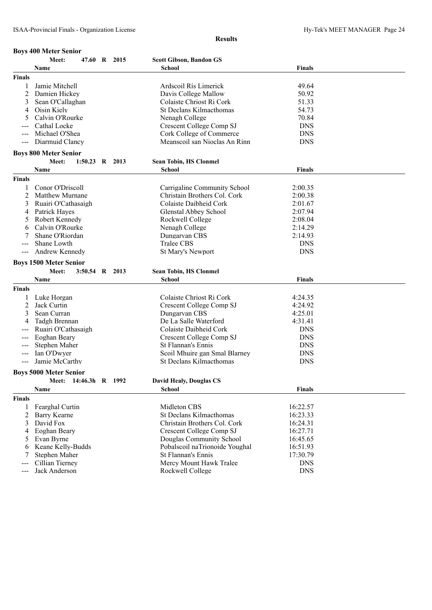#### **Boys 400 Meter Senior**

|                                          | Meet:                         | 47.60 R 2015     |  | <b>Scott Gibson, Bandon GS</b> |               |  |
|------------------------------------------|-------------------------------|------------------|--|--------------------------------|---------------|--|
|                                          | Name                          |                  |  | School                         | <b>Finals</b> |  |
| <b>Finals</b>                            |                               |                  |  |                                |               |  |
|                                          | Jamie Mitchell                |                  |  | Ardscoil Rís Limerick          | 49.64         |  |
| 2                                        | Damien Hickey                 |                  |  | Davis College Mallow           | 50.92         |  |
| 3                                        | Sean O'Callaghan              |                  |  | Colaiste Chriost Ri Cork       | 51.33         |  |
| 4                                        | Oisin Kiely                   |                  |  | St Declans Kilmacthomas        | 54.73         |  |
| 5                                        | Calvin O'Rourke               |                  |  | Nenagh College                 | 70.84         |  |
| ---                                      | Cathal Locke                  |                  |  | Crescent College Comp SJ       | <b>DNS</b>    |  |
|                                          | Michael O'Shea                |                  |  | Cork College of Commerce       | <b>DNS</b>    |  |
|                                          | Diarmuid Clancy               |                  |  | Meanscoil san Nioclas An Rinn  | <b>DNS</b>    |  |
|                                          | <b>Boys 800 Meter Senior</b>  |                  |  |                                |               |  |
|                                          | Meet:                         | 1:50.23 R 2013   |  | <b>Sean Tobin, HS Clonmel</b>  |               |  |
|                                          | Name                          |                  |  | School                         | <b>Finals</b> |  |
| <b>Finals</b>                            |                               |                  |  |                                |               |  |
| 1                                        | Conor O'Driscoll              |                  |  | Carrigaline Community School   | 2:00.35       |  |
| 2                                        | <b>Matthew Murnane</b>        |                  |  | Christain Brothers Col. Cork   | 2:00.38       |  |
| 3                                        | Ruairi O'Cathasaigh           |                  |  | Colaiste Daibheid Cork         | 2:01.67       |  |
| 4                                        | Patrick Hayes                 |                  |  | <b>Glenstal Abbey School</b>   | 2:07.94       |  |
| 5                                        | Robert Kennedy                |                  |  | Rockwell College               | 2:08.04       |  |
| 6                                        | Calvin O'Rourke               |                  |  | Nenagh College                 | 2:14.29       |  |
|                                          | Shane O'Riordan               |                  |  | Dungarvan CBS                  | 2:14.93       |  |
|                                          | Shane Lowth                   |                  |  | Tralee CBS                     | <b>DNS</b>    |  |
| $---$                                    | Andrew Kennedy                |                  |  | St Mary's Newport              | <b>DNS</b>    |  |
|                                          |                               |                  |  |                                |               |  |
|                                          | <b>Boys 1500 Meter Senior</b> |                  |  |                                |               |  |
|                                          | Meet:                         | $3:50.54$ R 2013 |  | <b>Sean Tobin, HS Clonmel</b>  |               |  |
|                                          | Name                          |                  |  | <b>School</b>                  | <b>Finals</b> |  |
| <b>Finals</b>                            |                               |                  |  |                                |               |  |
| 1                                        | Luke Horgan                   |                  |  | Colaiste Chriost Ri Cork       | 4:24.35       |  |
| 2                                        | Jack Curtin                   |                  |  | Crescent College Comp SJ       | 4:24.92       |  |
| 3                                        | Sean Curran                   |                  |  | Dungarvan CBS                  | 4:25.01       |  |
|                                          | Tadgh Brennan                 |                  |  | De La Salle Waterford          | 4:31.41       |  |
|                                          | Ruairi O'Cathasaigh           |                  |  | Colaiste Daibheid Cork         | <b>DNS</b>    |  |
|                                          | Eoghan Beary                  |                  |  | Crescent College Comp SJ       | <b>DNS</b>    |  |
| $---$                                    | Stephen Maher                 |                  |  | St Flannan's Ennis             | <b>DNS</b>    |  |
|                                          | Ian O'Dwyer                   |                  |  | Scoil Mhuire gan Smal Blarney  | <b>DNS</b>    |  |
| $\hspace{0.05cm} \ldots \hspace{0.05cm}$ | Jamie McCarthy                |                  |  | St Declans Kilmacthomas        | <b>DNS</b>    |  |
|                                          | <b>Boys 5000 Meter Senior</b> |                  |  |                                |               |  |
|                                          | Meet: 14:46.3h R 1992         |                  |  | <b>David Healy, Douglas CS</b> |               |  |
|                                          | Name                          |                  |  | <b>School</b>                  | <b>Finals</b> |  |
| <b>Finals</b>                            |                               |                  |  |                                |               |  |
| 1                                        | Fearghal Curtin               |                  |  | Midleton CBS                   | 16:22.57      |  |
| 2                                        | Barry Kearne                  |                  |  | St Declans Kilmacthomas        | 16:23.33      |  |
| 3                                        | David Fox                     |                  |  | Christain Brothers Col. Cork   | 16:24.31      |  |
| 4                                        | Eoghan Beary                  |                  |  | Crescent College Comp SJ       | 16:27.71      |  |
|                                          | Evan Byrne                    |                  |  | Douglas Community School       | 16:45.65      |  |
| 5                                        | Keane Kelly-Budds             |                  |  | Pobalscoil naTrionoide Youghal | 16:51.93      |  |
| 6<br>7                                   | Stephen Maher                 |                  |  | St Flannan's Ennis             | 17:30.79      |  |
|                                          |                               |                  |  |                                |               |  |
| ---                                      | Cillian Tierney               |                  |  | Mercy Mount Hawk Tralee        | <b>DNS</b>    |  |
|                                          | Jack Anderson                 |                  |  | Rockwell College               | <b>DNS</b>    |  |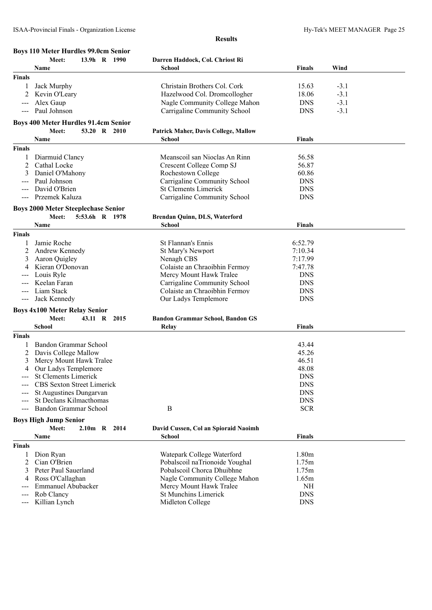|                     | <b>Boys 110 Meter Hurdles 99.0cm Senior</b> |                |  |                                             |                   |        |  |
|---------------------|---------------------------------------------|----------------|--|---------------------------------------------|-------------------|--------|--|
|                     | Meet:                                       | 13.9h R 1990   |  | Darren Haddock, Col. Chriost Ri             |                   |        |  |
|                     | Name                                        |                |  | <b>School</b>                               | <b>Finals</b>     | Wind   |  |
| <b>Finals</b>       |                                             |                |  |                                             |                   |        |  |
| 1                   | Jack Murphy                                 |                |  | Christain Brothers Col. Cork                | 15.63             | $-3.1$ |  |
| 2                   | Kevin O'Leary                               |                |  | Hazelwood Col. Dromcollogher                | 18.06             | $-3.1$ |  |
|                     | Alex Gaup                                   |                |  | Nagle Community College Mahon               | <b>DNS</b>        | $-3.1$ |  |
| $\frac{1}{2}$       | Paul Johnson                                |                |  | Carrigaline Community School                | <b>DNS</b>        | $-3.1$ |  |
|                     |                                             |                |  |                                             |                   |        |  |
|                     | <b>Boys 400 Meter Hurdles 91.4cm Senior</b> |                |  |                                             |                   |        |  |
|                     | Meet:                                       | 53.20 R 2010   |  | <b>Patrick Maher, Davis College, Mallow</b> |                   |        |  |
|                     | Name                                        |                |  | <b>School</b>                               | <b>Finals</b>     |        |  |
| <b>Finals</b>       |                                             |                |  |                                             |                   |        |  |
|                     | Diarmuid Clancy                             |                |  | Meanscoil san Nioclas An Rinn               | 56.58             |        |  |
|                     | Cathal Locke                                |                |  | Crescent College Comp SJ                    | 56.87             |        |  |
|                     | Daniel O'Mahony                             |                |  | Rochestown College                          | 60.86             |        |  |
|                     | Paul Johnson                                |                |  | Carrigaline Community School                | <b>DNS</b>        |        |  |
|                     | David O'Brien                               |                |  | <b>St Clements Limerick</b>                 | <b>DNS</b>        |        |  |
|                     | Przemek Kaluza                              |                |  | Carrigaline Community School                | <b>DNS</b>        |        |  |
|                     | <b>Boys 2000 Meter Steeplechase Senior</b>  |                |  |                                             |                   |        |  |
|                     | Meet:                                       | 5:53.6h R 1978 |  | Brendan Quinn, DLS, Waterford               |                   |        |  |
|                     | Name                                        |                |  | <b>School</b>                               | <b>Finals</b>     |        |  |
|                     |                                             |                |  |                                             |                   |        |  |
| <b>Finals</b>       |                                             |                |  |                                             |                   |        |  |
| 1                   | Jamie Roche                                 |                |  | St Flannan's Ennis                          | 6:52.79           |        |  |
| 2                   | Andrew Kennedy                              |                |  | St Mary's Newport                           | 7:10.34           |        |  |
| 3                   | Aaron Ouigley                               |                |  | Nenagh CBS                                  | 7:17.99           |        |  |
|                     | Kieran O'Donovan                            |                |  | Colaiste an Chraoibhin Fermoy               | 7:47.78           |        |  |
|                     | Louis Ryle                                  |                |  | Mercy Mount Hawk Tralee                     | <b>DNS</b>        |        |  |
|                     | Keelan Faran                                |                |  | Carrigaline Community School                | <b>DNS</b>        |        |  |
| $---$               | Liam Stack                                  |                |  | Colaiste an Chraoibhin Fermoy               | <b>DNS</b>        |        |  |
| $---$               | Jack Kennedy                                |                |  | Our Ladys Templemore                        | <b>DNS</b>        |        |  |
|                     | <b>Boys 4x100 Meter Relay Senior</b>        |                |  |                                             |                   |        |  |
|                     | Meet:                                       | 43.11 R 2015   |  | <b>Bandon Grammar School, Bandon GS</b>     |                   |        |  |
|                     | School                                      |                |  | Relay                                       | <b>Finals</b>     |        |  |
| <b>Finals</b>       |                                             |                |  |                                             |                   |        |  |
|                     | Bandon Grammar School                       |                |  |                                             | 43.44             |        |  |
| 2                   | Davis College Mallow                        |                |  |                                             | 45.26             |        |  |
| 3                   | Mercy Mount Hawk Tralee                     |                |  |                                             | 46.51             |        |  |
| 4                   | Our Ladys Templemore                        |                |  |                                             | 48.08             |        |  |
|                     | <b>St Clements Limerick</b>                 |                |  |                                             | <b>DNS</b>        |        |  |
|                     | <b>CBS</b> Sexton Street Limerick           |                |  |                                             | <b>DNS</b>        |        |  |
|                     | St Augustines Dungarvan                     |                |  |                                             | <b>DNS</b>        |        |  |
|                     | St Declans Kilmacthomas                     |                |  |                                             | <b>DNS</b>        |        |  |
| $\qquad \qquad - -$ | Bandon Grammar School                       |                |  | $\bf{B}$                                    | <b>SCR</b>        |        |  |
|                     |                                             |                |  |                                             |                   |        |  |
|                     | <b>Boys High Jump Senior</b>                |                |  |                                             |                   |        |  |
|                     | Meet:                                       | 2.10m R 2014   |  | David Cussen, Col an Spioraid Naoimh        |                   |        |  |
|                     | Name                                        |                |  | School                                      | <b>Finals</b>     |        |  |
| <b>Finals</b>       |                                             |                |  |                                             |                   |        |  |
| 1                   | Dion Ryan                                   |                |  | Watepark College Waterford                  | 1.80 <sub>m</sub> |        |  |
| 2                   | Cian O'Brien                                |                |  | Pobalscoil naTrionoide Youghal              | 1.75m             |        |  |
| 3                   | Peter Paul Sauerland                        |                |  | Pobalscoil Chorca Dhuibhne                  | 1.75m             |        |  |
| 4                   | Ross O'Callaghan                            |                |  | Nagle Community College Mahon               | 1.65m             |        |  |
|                     | <b>Emmanuel Abubacker</b>                   |                |  | Mercy Mount Hawk Tralee                     | NH                |        |  |
| ---                 | Rob Clancy                                  |                |  | <b>St Munchins Limerick</b>                 | <b>DNS</b>        |        |  |
| ---                 | Killian Lynch                               |                |  | Midleton College                            | <b>DNS</b>        |        |  |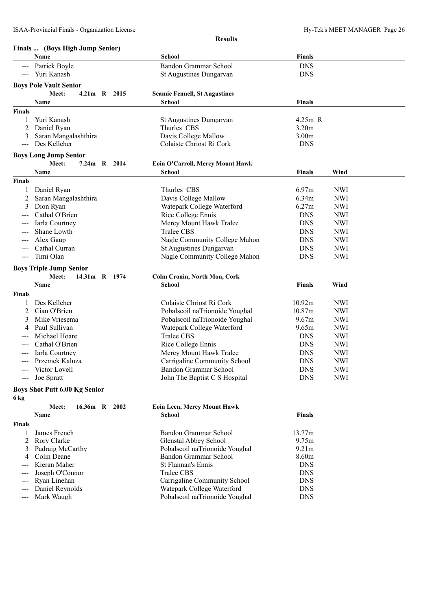|                     | Finals  (Boys High Jump Senior)      |  |               |                                      |                   |            |
|---------------------|--------------------------------------|--|---------------|--------------------------------------|-------------------|------------|
|                     | Name                                 |  |               | School                               | Finals            |            |
|                     | Patrick Boyle                        |  |               | Bandon Grammar School                | <b>DNS</b>        |            |
|                     | Yuri Kanash                          |  |               | St Augustines Dungarvan              | <b>DNS</b>        |            |
|                     |                                      |  |               |                                      |                   |            |
|                     | <b>Boys Pole Vault Senior</b>        |  |               |                                      |                   |            |
|                     | Meet:                                |  | 4.21m R 2015  | <b>Seamie Fennell, St Augustines</b> |                   |            |
|                     | Name                                 |  |               | School                               | <b>Finals</b>     |            |
| <b>Finals</b>       |                                      |  |               |                                      |                   |            |
|                     | Yuri Kanash                          |  |               | <b>St Augustines Dungarvan</b>       | 4.25m R           |            |
|                     | Daniel Ryan                          |  |               | Thurles CBS                          | 3.20 <sub>m</sub> |            |
| 3                   | Saran Mangalashthira                 |  |               | Davis College Mallow                 | 3.00 <sub>m</sub> |            |
|                     | Des Kelleher                         |  |               | Colaiste Chriost Ri Cork             | <b>DNS</b>        |            |
|                     | <b>Boys Long Jump Senior</b>         |  |               |                                      |                   |            |
|                     | Meet:                                |  | 7.24m R 2014  | Eoin O'Carroll, Mercy Mount Hawk     |                   |            |
|                     | Name                                 |  |               | School                               | Finals            | Wind       |
| <b>Finals</b>       |                                      |  |               |                                      |                   |            |
|                     |                                      |  |               | Thurles CBS                          | 6.97m             | <b>NWI</b> |
|                     | Daniel Ryan                          |  |               |                                      |                   |            |
| 2                   | Saran Mangalashthira                 |  |               | Davis College Mallow                 | 6.34m             | <b>NWI</b> |
|                     | Dion Ryan                            |  |               | Watepark College Waterford           | 6.27m             | <b>NWI</b> |
|                     | Cathal O'Brien                       |  |               | Rice College Ennis                   | <b>DNS</b>        | <b>NWI</b> |
|                     | Iarla Courtney                       |  |               | Mercy Mount Hawk Tralee              | <b>DNS</b>        | <b>NWI</b> |
|                     | Shane Lowth                          |  |               | Tralee CBS                           | <b>DNS</b>        | <b>NWI</b> |
|                     | Alex Gaup                            |  |               | Nagle Community College Mahon        | <b>DNS</b>        | <b>NWI</b> |
|                     | Cathal Curran                        |  |               | St Augustines Dungarvan              | <b>DNS</b>        | <b>NWI</b> |
| $\qquad \qquad - -$ | Timi Olan                            |  |               | Nagle Community College Mahon        | <b>DNS</b>        | <b>NWI</b> |
|                     | <b>Boys Triple Jump Senior</b>       |  |               |                                      |                   |            |
|                     | Meet:                                |  | 14.31m R 1974 | <b>Colm Cronin, North Mon, Cork</b>  |                   |            |
|                     | Name                                 |  |               | School                               | <b>Finals</b>     | Wind       |
| Finals              |                                      |  |               |                                      |                   |            |
|                     |                                      |  |               |                                      |                   |            |
|                     | Des Kelleher                         |  |               | Colaiste Chriost Ri Cork             | 10.92m            | <b>NWI</b> |
| 2                   | Cian O'Brien                         |  |               | Pobalscoil naTrionoide Youghal       | 10.87m            | <b>NWI</b> |
|                     | Mike Vriesema                        |  |               | Pobalscoil naTrionoide Youghal       | 9.67 <sub>m</sub> | <b>NWI</b> |
|                     | Paul Sullivan                        |  |               | Watepark College Waterford           | 9.65m             | <b>NWI</b> |
|                     | Michael Hoare                        |  |               | Tralee CBS                           | <b>DNS</b>        | <b>NWI</b> |
|                     | Cathal O'Brien                       |  |               | Rice College Ennis                   | <b>DNS</b>        | <b>NWI</b> |
|                     | Iarla Courtney                       |  |               | Mercy Mount Hawk Tralee              | <b>DNS</b>        | <b>NWI</b> |
|                     | Przemek Kaluza                       |  |               | Carrigaline Community School         | <b>DNS</b>        | <b>NWI</b> |
|                     | Victor Lovell                        |  |               | Bandon Grammar School                | <b>DNS</b>        | <b>NWI</b> |
|                     | --- Joe Spratt                       |  |               | John The Baptist C S Hospital        | <b>DNS</b>        | <b>NWI</b> |
|                     | <b>Boys Shot Putt 6.00 Kg Senior</b> |  |               |                                      |                   |            |
|                     |                                      |  |               |                                      |                   |            |
| 6 kg                |                                      |  | 16.36m R 2002 |                                      |                   |            |
|                     | Meet:                                |  |               | <b>Eoin Leen, Mercy Mount Hawk</b>   |                   |            |
|                     | Name                                 |  |               | <b>School</b>                        | <b>Finals</b>     |            |
| Finals              |                                      |  |               |                                      |                   |            |
|                     | James French                         |  |               | Bandon Grammar School                | 13.77m            |            |
| 2                   | Rory Clarke                          |  |               | <b>Glenstal Abbey School</b>         | 9.75m             |            |
| 3                   | Padraig McCarthy                     |  |               | Pobalscoil naTrionoide Youghal       | 9.21m             |            |
| 4                   | Colin Deane                          |  |               | Bandon Grammar School                | 8.60m             |            |
|                     | Kieran Maher                         |  |               | St Flannan's Ennis                   | <b>DNS</b>        |            |
|                     | Joseph O'Connor                      |  |               | Tralee CBS                           | <b>DNS</b>        |            |
| ---                 | Ryan Linehan                         |  |               | Carrigaline Community School         | <b>DNS</b>        |            |
|                     | Daniel Reynolds                      |  |               | Watepark College Waterford           | <b>DNS</b>        |            |
|                     | Mark Waugh                           |  |               | Pobalscoil naTrionoide Youghal       | <b>DNS</b>        |            |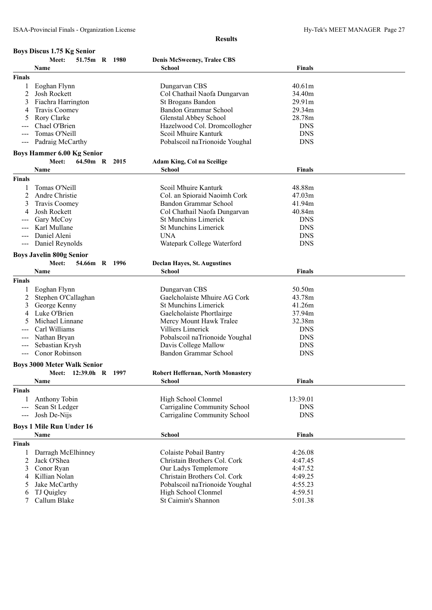|                     | <b>Boys Discus 1.75 Kg Senior</b>  |      |                                                           |               |  |
|---------------------|------------------------------------|------|-----------------------------------------------------------|---------------|--|
|                     | Meet:<br>51.75m R                  | 1980 | <b>Denis McSweeney, Tralee CBS</b>                        |               |  |
|                     | Name                               |      | <b>School</b>                                             | <b>Finals</b> |  |
| <b>Finals</b>       |                                    |      |                                                           |               |  |
| 1                   | Eoghan Flynn                       |      | Dungarvan CBS                                             | 40.61m        |  |
| 2                   | Josh Rockett                       |      | Col Chathail Naofa Dungarvan                              | 34.40m        |  |
| 3                   | Fiachra Harrington                 |      | St Brogans Bandon                                         | 29.91m        |  |
| 4                   | Travis Coomey                      |      | Bandon Grammar School                                     | 29.34m        |  |
| 5                   | Rory Clarke                        |      | Glenstal Abbey School                                     | 28.78m        |  |
|                     | Chael O'Brien                      |      | Hazelwood Col. Dromcollogher                              | <b>DNS</b>    |  |
|                     | Tomas O'Neill                      |      | Scoil Mhuire Kanturk                                      | <b>DNS</b>    |  |
| $---$               | Padraig McCarthy                   |      | Pobalscoil naTrionoide Youghal                            | <b>DNS</b>    |  |
|                     | <b>Boys Hammer 6.00 Kg Senior</b>  |      |                                                           |               |  |
|                     | 64.50m R 2015<br>Meet:             |      | Adam King, Col na Sceilige                                |               |  |
|                     | Name                               |      | School                                                    | <b>Finals</b> |  |
|                     |                                    |      |                                                           |               |  |
| <b>Finals</b>       |                                    |      |                                                           |               |  |
| 1                   | Tomas O'Neill                      |      | Scoil Mhuire Kanturk                                      | 48.88m        |  |
| 2                   | Andre Christie                     |      | Col. an Spioraid Naoimh Cork                              | 47.03m        |  |
| 3                   | Travis Coomey                      |      | Bandon Grammar School                                     | 41.94m        |  |
| 4                   | Josh Rockett                       |      | Col Chathail Naofa Dungarvan                              | 40.84m        |  |
|                     | Gary McCoy                         |      | <b>St Munchins Limerick</b>                               | <b>DNS</b>    |  |
|                     | Karl Mullane                       |      | <b>St Munchins Limerick</b>                               | <b>DNS</b>    |  |
|                     | Daniel Aleni                       |      | <b>UNA</b>                                                | <b>DNS</b>    |  |
| $---$               | Daniel Reynolds                    |      | Watepark College Waterford                                | <b>DNS</b>    |  |
|                     | <b>Boys Javelin 800g Senior</b>    |      |                                                           |               |  |
|                     | Meet:<br>54.66m R 1996             |      | <b>Declan Hayes, St. Augustines</b>                       |               |  |
|                     | Name                               |      | School                                                    | <b>Finals</b> |  |
| <b>Finals</b>       |                                    |      |                                                           |               |  |
| 1                   | Eoghan Flynn                       |      | Dungarvan CBS                                             | 50.50m        |  |
| 2                   | Stephen O'Callaghan                |      | Gaelcholaiste Mhuire AG Cork                              | 43.78m        |  |
| 3                   | George Kenny                       |      | <b>St Munchins Limerick</b>                               | 41.26m        |  |
| 4                   | Luke O'Brien                       |      | Gaelcholaiste Phortlairge                                 | 37.94m        |  |
| 5                   | Michael Linnane                    |      | Mercy Mount Hawk Tralee                                   | 32.38m        |  |
|                     | Carl Williams                      |      | Villiers Limerick                                         | <b>DNS</b>    |  |
|                     | Nathan Bryan                       |      | Pobalscoil naTrionoide Youghal                            | <b>DNS</b>    |  |
|                     | Sebastian Krysh                    |      | Davis College Mallow                                      | <b>DNS</b>    |  |
| $\qquad \qquad - -$ | Conor Robinson                     |      | <b>Bandon Grammar School</b>                              | <b>DNS</b>    |  |
|                     |                                    |      |                                                           |               |  |
|                     | <b>Boys 3000 Meter Walk Senior</b> |      |                                                           |               |  |
|                     | 12:39.0h R 1997<br><b>Meet:</b>    |      | <b>Robert Heffernan, North Monastery</b><br><b>School</b> |               |  |
|                     | Name                               |      |                                                           | <b>Finals</b> |  |
| <b>Finals</b>       |                                    |      |                                                           |               |  |
| $\mathbf{1}$        | Anthony Tobin                      |      | High School Clonmel                                       | 13:39.01      |  |
| $---$               | Sean St Ledger                     |      | Carrigaline Community School                              | <b>DNS</b>    |  |
| $---$               | Josh De-Nijs                       |      | Carrigaline Community School                              | <b>DNS</b>    |  |
|                     | <b>Boys 1 Mile Run Under 16</b>    |      |                                                           |               |  |
|                     | Name                               |      | School                                                    | <b>Finals</b> |  |
| <b>Finals</b>       |                                    |      |                                                           |               |  |
| 1                   | Darragh McElhinney                 |      | Colaiste Pobail Bantry                                    | 4:26.08       |  |
| 2                   | Jack O'Shea                        |      | Christain Brothers Col. Cork                              | 4:47.45       |  |
| 3                   | Conor Ryan                         |      | Our Ladys Templemore                                      | 4:47.52       |  |
| 4                   | Killian Nolan                      |      | Christain Brothers Col. Cork                              | 4:49.25       |  |
| 5                   | Jake McCarthy                      |      | Pobalscoil naTrionoide Youghal                            | 4:55.23       |  |
| 6                   | TJ Quigley                         |      | High School Clonmel                                       | 4:59.51       |  |
| 7                   | Callum Blake                       |      | St Caimin's Shannon                                       | 5:01.38       |  |
|                     |                                    |      |                                                           |               |  |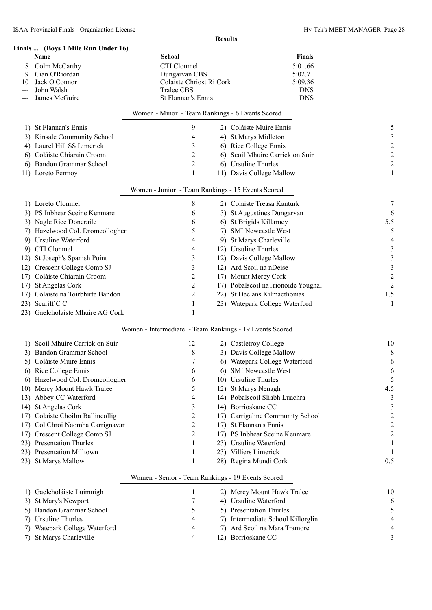|     | Finals  (Boys 1 Mile Run Under 16)<br>Name          | <b>School</b>                                           | <b>Finals</b>                                      |                         |
|-----|-----------------------------------------------------|---------------------------------------------------------|----------------------------------------------------|-------------------------|
| 8   | Colm McCarthy                                       | CTI Clonmel                                             | 5:01.66                                            |                         |
| 9   | Cian O'Riordan                                      | Dungarvan CBS                                           | 5:02.71                                            |                         |
| 10  | Jack O'Connor                                       | Colaiste Chriost Ri Cork                                | 5:09.36                                            |                         |
| --- | John Walsh                                          | Tralee CBS                                              | <b>DNS</b>                                         |                         |
|     | James McGuire                                       | St Flannan's Ennis                                      | <b>DNS</b>                                         |                         |
|     |                                                     | Women - Minor - Team Rankings - 6 Events Scored         |                                                    |                         |
|     | 1) St Flannan's Ennis                               | 9                                                       | 2) Coláiste Muire Ennis                            | 5                       |
|     | 3) Kinsale Community School                         | 4                                                       | 4) St Marys Midleton                               | 3                       |
|     | 4) Laurel Hill SS Limerick                          | 3                                                       | 6) Rice College Ennis                              | $\overline{c}$          |
|     | 6) Coláiste Chiarain Croom                          | 2                                                       | 6) Scoil Mhuire Carrick on Suir                    | 2                       |
|     | 6) Bandon Grammar School                            | $\overline{2}$                                          | 6) Ursuline Thurles                                | $\overline{c}$          |
|     | 11) Loreto Fermoy                                   | 1                                                       | 11) Davis College Mallow                           | 1                       |
|     |                                                     | Women - Junior - Team Rankings - 15 Events Scored       |                                                    |                         |
|     | 1) Loreto Clonmel                                   | 8                                                       | 2) Colaiste Treasa Kanturk                         | 7                       |
|     | 3) PS Inbhear Sceine Kenmare                        | 6                                                       | 3) St Augustines Dungarvan                         | 6                       |
|     | 3) Nagle Rice Doneraile                             | 6                                                       | 6) St Brigids Killarney                            | 5.5                     |
|     | 7) Hazelwood Col. Dromcollogher                     | 5                                                       | 7) SMI Newcastle West                              | 5                       |
|     | 9) Ursuline Waterford                               | 4                                                       | 9) St Marys Charleville                            | 4                       |
|     | 9) CTI Clonmel                                      | 4                                                       | 12) Ursuline Thurles                               | 3                       |
|     |                                                     |                                                         |                                                    |                         |
|     | 12) St Joseph's Spanish Point                       | 3                                                       | 12) Davis College Mallow                           | 3                       |
|     | 12) Crescent College Comp SJ                        | $\mathfrak{Z}$                                          | 12) Ard Scoil na nDeise                            | 3                       |
|     | 17) Coláiste Chiarain Croom                         | $\overline{c}$                                          | 17) Mount Mercy Cork                               | $\overline{c}$          |
|     | 17) St Angelas Cork                                 | $\overline{c}$                                          | 17) Pobalscoil naTrionoide Youghal                 | 2                       |
|     | 17) Colaiste na Toirbhirte Bandon                   | $\overline{c}$                                          | 22) St Declans Kilmacthomas                        | 1.5                     |
|     | 23) Scariff C C<br>23) Gaelcholaiste Mhuire AG Cork | 1<br>1                                                  | 23) Watepark College Waterford                     | 1                       |
|     |                                                     |                                                         |                                                    |                         |
|     |                                                     | Women - Intermediate - Team Rankings - 19 Events Scored |                                                    |                         |
|     | 1) Scoil Mhuire Carrick on Suir                     | 12                                                      | 2) Castletroy College                              | 10                      |
|     | 3) Bandon Grammar School                            | 8                                                       | 3) Davis College Mallow                            | 8                       |
|     | 5) Coláiste Muire Ennis                             | 7                                                       | 6) Watepark College Waterford                      | 6                       |
|     | 6) Rice College Ennis                               | 6                                                       | 6) SMI Newcastle West                              | 6                       |
|     | 6) Hazelwood Col. Dromcollogher                     | 6                                                       | 10) Ursuline Thurles                               | 5                       |
|     | 10) Mercy Mount Hawk Tralee                         | 5                                                       | 12) St Marys Nenagh                                | 4.5                     |
|     | 13) Abbey CC Waterford                              | 4                                                       | 14) Pobalscoil Sliabh Luachra                      | 3                       |
|     | 14) St Angelas Cork                                 | 3                                                       | 14) Borrioskane CC                                 | 3                       |
|     | 17) Colaiste Choilm Ballincollig                    | $\overline{c}$                                          | 17) Carrigaline Community School                   | $\overline{\mathbf{c}}$ |
|     | 17) Col Chroi Naomha Carrignavar                    | $\overline{c}$                                          | 17) St Flannan's Ennis                             | $\overline{c}$          |
|     | 17) Crescent College Comp SJ                        | $\overline{c}$                                          | 17) PS Inbhear Sceine Kenmare                      | $\overline{c}$          |
|     | 23) Presentation Thurles                            | 1                                                       | 23) Ursuline Waterford                             |                         |
|     | 23) Presentation Milltown                           | 1                                                       | 23) Villiers Limerick                              | 1                       |
|     | 23) St Marys Mallow                                 | 1                                                       | 28) Regina Mundi Cork                              | 0.5                     |
|     |                                                     | Women - Senior - Team Rankings - 19 Events Scored       |                                                    |                         |
|     | 1) Gaelcholáiste Luimnigh                           | 11                                                      | 2) Mercy Mount Hawk Tralee                         | 10                      |
| 3)  | St Mary's Newport                                   | 7                                                       | 4) Ursuline Waterford                              | 6                       |
| 5)  | Bandon Grammar School                               | 5                                                       | 5) Presentation Thurles                            | 5                       |
|     | <b>Ursuline Thurles</b>                             |                                                         |                                                    |                         |
| 7). |                                                     | 4                                                       | 7) Intermediate School Killorglin                  | 4                       |
| 7)  | Watepark College Waterford                          | 4                                                       | 7) Ard Scoil na Mara Tramore<br>12) Borrioskane CC | 4                       |
| 7)  | St Marys Charleville                                | 4                                                       |                                                    | 3                       |
|     |                                                     |                                                         |                                                    |                         |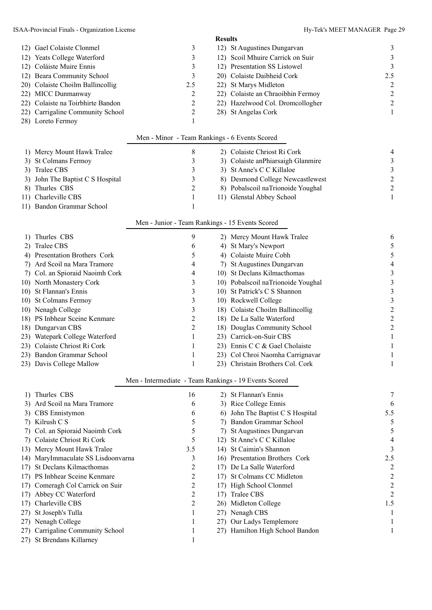#### ISAA-Provincial Finals - Organization License Hy-Tek's MEET MANAGER Page 29

|     |                                   |                                                       | <b>Results</b>                     |                         |
|-----|-----------------------------------|-------------------------------------------------------|------------------------------------|-------------------------|
|     | 12) Gael Colaiste Clonmel         | 3                                                     | 12) St Augustines Dungarvan        | 3                       |
|     | 12) Yeats College Waterford       | 3                                                     | 12) Scoil Mhuire Carrick on Suir   | 3                       |
|     | 12) Coláiste Muire Ennis          | 3                                                     | 12) Presentation SS Listowel       | $\mathfrak{Z}$          |
|     | 12) Beara Community School        | 3                                                     | 20) Colaiste Daibheid Cork         | 2.5                     |
|     | 20) Colaiste Choilm Ballincollig  | 2.5                                                   | 22) St Marys Midleton              | 2                       |
|     | 22) MICC Dunmanway                | 2                                                     | 22) Colaiste an Chraoibhin Fermoy  | $\overline{2}$          |
|     | 22) Colaiste na Toirbhirte Bandon | 2                                                     | 22) Hazelwood Col. Dromcollogher   | $\overline{2}$          |
|     | 22) Carrigaline Community School  | 2                                                     | 28) St Angelas Cork                | 1                       |
|     | 28) Loreto Fermoy                 | 1                                                     |                                    |                         |
|     |                                   | Men - Minor - Team Rankings - 6 Events Scored         |                                    |                         |
|     | 1) Mercy Mount Hawk Tralee        | 8                                                     | 2) Colaiste Chriost Ri Cork        | 4                       |
|     | 3) St Colmans Fermoy              | 3                                                     | 3) Colaiste anPhiarsaigh Glanmire  | 3                       |
|     | 3) Tralee CBS                     | 3                                                     | 3) St Anne's C C Killaloe          | 3                       |
|     | 3) John The Baptist C S Hospital  | 3                                                     | 8) Desmond College Newcastlewest   | $\overline{c}$          |
|     | 8) Thurles CBS                    | 2                                                     | 8) Pobalscoil naTrionoide Youghal  | $\overline{c}$          |
|     | 11) Charleville CBS               | 1                                                     | 11) Glenstal Abbey School          | 1                       |
|     | 11) Bandon Grammar School         | 1                                                     |                                    |                         |
|     |                                   | Men - Junior - Team Rankings - 15 Events Scored       |                                    |                         |
|     | 1) Thurles CBS                    | 9                                                     | 2) Mercy Mount Hawk Tralee         | 6                       |
|     | 2) Tralee CBS                     | 6                                                     | 4) St Mary's Newport               | 5                       |
|     | 4) Presentation Brothers Cork     | 5                                                     | 4) Colaiste Muire Cobh             | 5                       |
|     | 7) Ard Scoil na Mara Tramore      | 4                                                     | 7) St Augustines Dungarvan         | 4                       |
|     | 7) Col. an Spioraid Naoimh Cork   | 4                                                     | 10) St Declans Kilmacthomas        | 3                       |
|     | 10) North Monastery Cork          | 3                                                     | 10) Pobalscoil naTrionoide Youghal | 3                       |
|     | 10) St Flannan's Ennis            | 3                                                     | 10) St Patrick's C S Shannon       | $\overline{\mathbf{3}}$ |
|     | 10) St Colmans Fermoy             | 3                                                     | 10) Rockwell College               | 3                       |
|     | 10) Nenagh College                | 3                                                     | 18) Colaiste Choilm Ballincollig   | $\overline{\mathbf{c}}$ |
|     | 18) PS Inbhear Sceine Kenmare     | 2                                                     | 18) De La Salle Waterford          | $\overline{c}$          |
|     | 18) Dungarvan CBS                 | 2                                                     | 18) Douglas Community School       | $\overline{c}$          |
|     | 23) Watepark College Waterford    | 1                                                     | 23) Carrick-on-Suir CBS            | 1                       |
|     | 23) Colaiste Chriost Ri Cork      | 1                                                     | 23) Ennis C C & Gael Cholaiste     | 1                       |
|     | 23) Bandon Grammar School         | 1                                                     | 23) Col Chroi Naomha Carrignavar   | 1                       |
|     | 23) Davis College Mallow          | 1                                                     | 23) Christain Brothers Col. Cork   | 1                       |
|     |                                   | Men - Intermediate - Team Rankings - 19 Events Scored |                                    |                         |
| 1)  | Thurles CBS                       | 16                                                    | 2) St Flannan's Ennis              | 7                       |
| 3)  | Ard Scoil na Mara Tramore         | 6                                                     | 3) Rice College Ennis              | 6                       |
| 3)  | CBS Ennistymon                    | 6<br>6)                                               | John The Baptist C S Hospital      | 5.5                     |
| 7)  | Kilrush C S                       | 5                                                     | 7) Bandon Grammar School           | 5                       |
| 7)  | Col. an Spioraid Naoimh Cork      | 5<br>7)                                               | St Augustines Dungarvan            | 5                       |
| 7). | Colaiste Chriost Ri Cork          | 5                                                     | 12) St Anne's C C Killaloe         | 4                       |
|     | 13) Mercy Mount Hawk Tralee       | 3.5                                                   | 14) St Caimin's Shannon            | 3                       |
| 14) | MaryImmaculate SS Lisdoonvarna    | 3                                                     | 16) Presentation Brothers Cork     | 2.5                     |
| 17) | St Declans Kilmacthomas           | 2                                                     | 17) De La Salle Waterford          | 2                       |
| 17) | PS Inbhear Sceine Kenmare         | $\overline{c}$                                        | 17) St Colmans CC Midleton         | $\overline{\mathbf{c}}$ |
|     | 17) Comeragh Col Carrick on Suir  | 2                                                     | 17) High School Clonmel            | $\overline{2}$          |
| 17) | Abbey CC Waterford                | $\overline{c}$                                        | 17) Tralee CBS                     | $\overline{2}$          |
| 17) | Charleville CBS                   | 2                                                     | 26) Midleton College               | 1.5                     |
| 27) | St Joseph's Tulla                 | 1                                                     | 27) Nenagh CBS                     | 1                       |
| 27) | Nenagh College                    | 27)<br>1                                              | Our Ladys Templemore               | 1                       |
| 27) | Carrigaline Community School      | 1                                                     | 27) Hamilton High School Bandon    | 1                       |
|     | 27) St Brendans Killarney         | 1                                                     |                                    |                         |
|     |                                   |                                                       |                                    |                         |